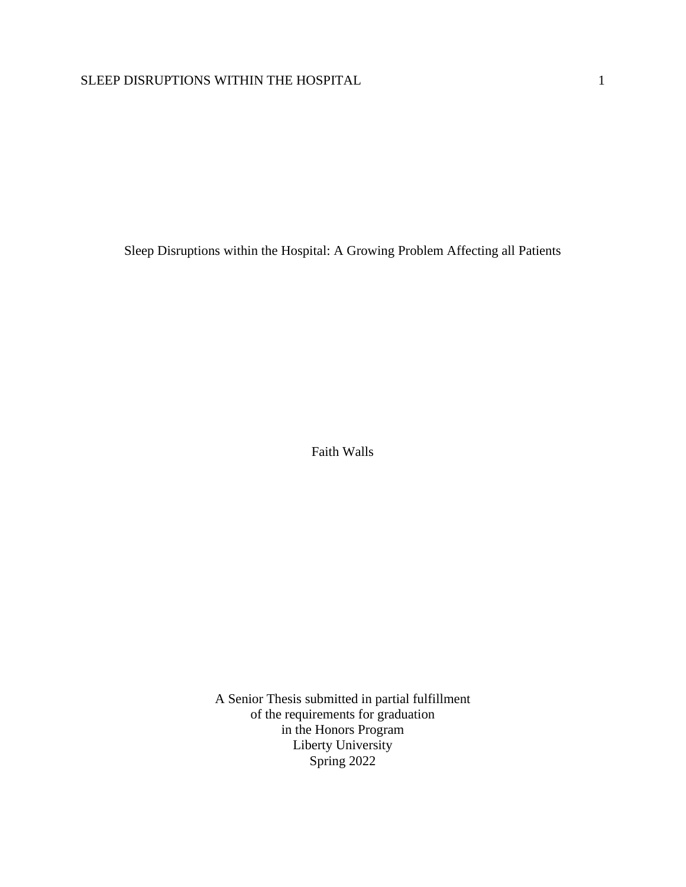Sleep Disruptions within the Hospital: A Growing Problem Affecting all Patients

Faith Walls

A Senior Thesis submitted in partial fulfillment of the requirements for graduation in the Honors Program Liberty University Spring 2022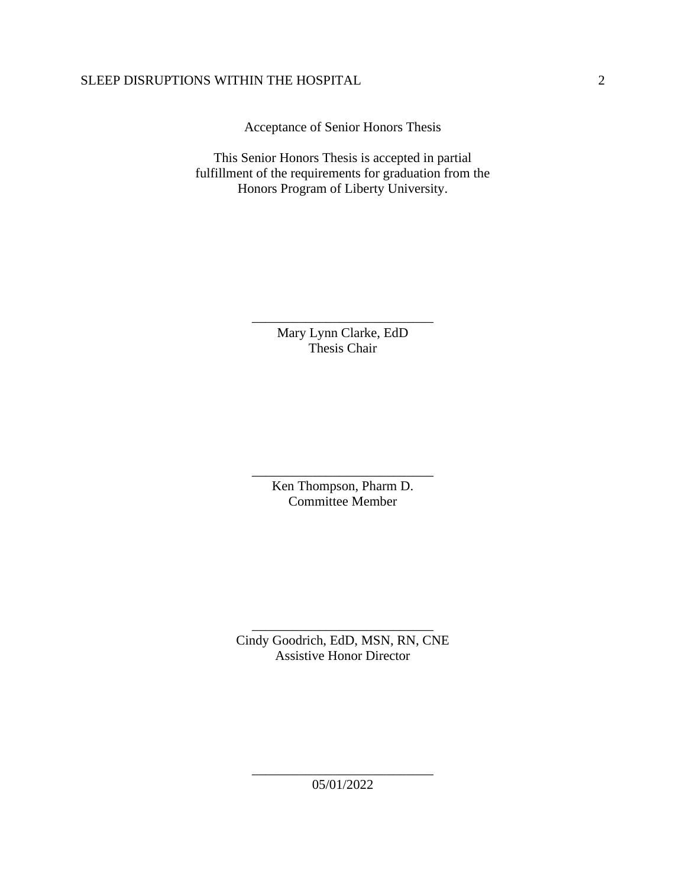Acceptance of Senior Honors Thesis

This Senior Honors Thesis is accepted in partial fulfillment of the requirements for graduation from the Honors Program of Liberty University.

> Mary Lynn Clarke, EdD Thesis Chair

\_\_\_\_\_\_\_\_\_\_\_\_\_\_\_\_\_\_\_\_\_\_\_\_\_\_\_

Ken Thompson, Pharm D. Committee Member

\_\_\_\_\_\_\_\_\_\_\_\_\_\_\_\_\_\_\_\_\_\_\_\_\_\_\_

Cindy Goodrich, EdD, MSN, RN, CNE Assistive Honor Director

\_\_\_\_\_\_\_\_\_\_\_\_\_\_\_\_\_\_\_\_\_\_\_\_\_\_\_

\_\_\_\_\_\_\_\_\_\_\_\_\_\_\_\_\_\_\_\_\_\_\_\_\_\_\_ 05/01/2022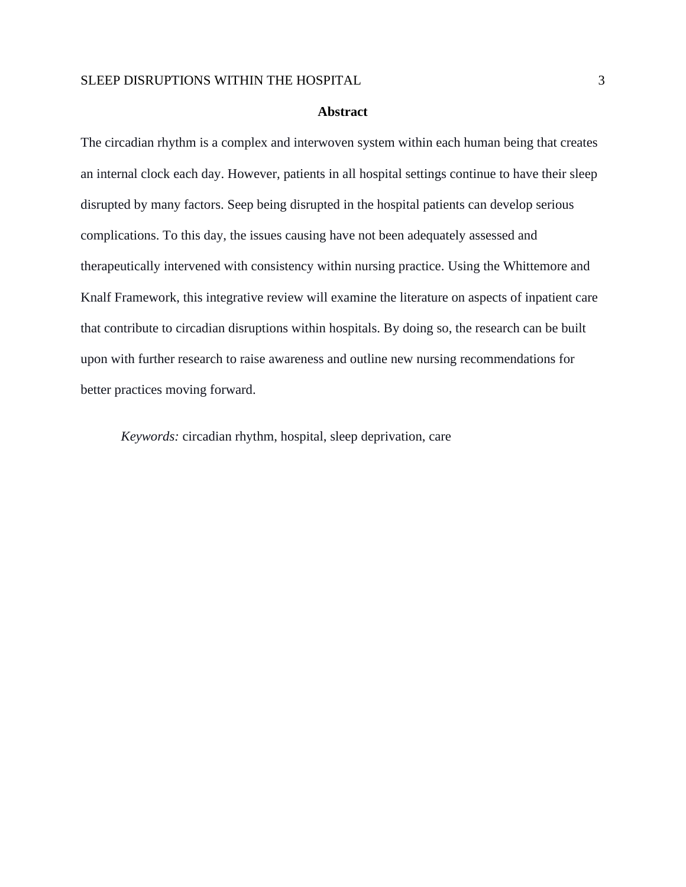## **Abstract**

The circadian rhythm is a complex and interwoven system within each human being that creates an internal clock each day. However, patients in all hospital settings continue to have their sleep disrupted by many factors. Seep being disrupted in the hospital patients can develop serious complications. To this day, the issues causing have not been adequately assessed and therapeutically intervened with consistency within nursing practice. Using the Whittemore and Knalf Framework, this integrative review will examine the literature on aspects of inpatient care that contribute to circadian disruptions within hospitals. By doing so, the research can be built upon with further research to raise awareness and outline new nursing recommendations for better practices moving forward.

*Keywords:* circadian rhythm, hospital, sleep deprivation, care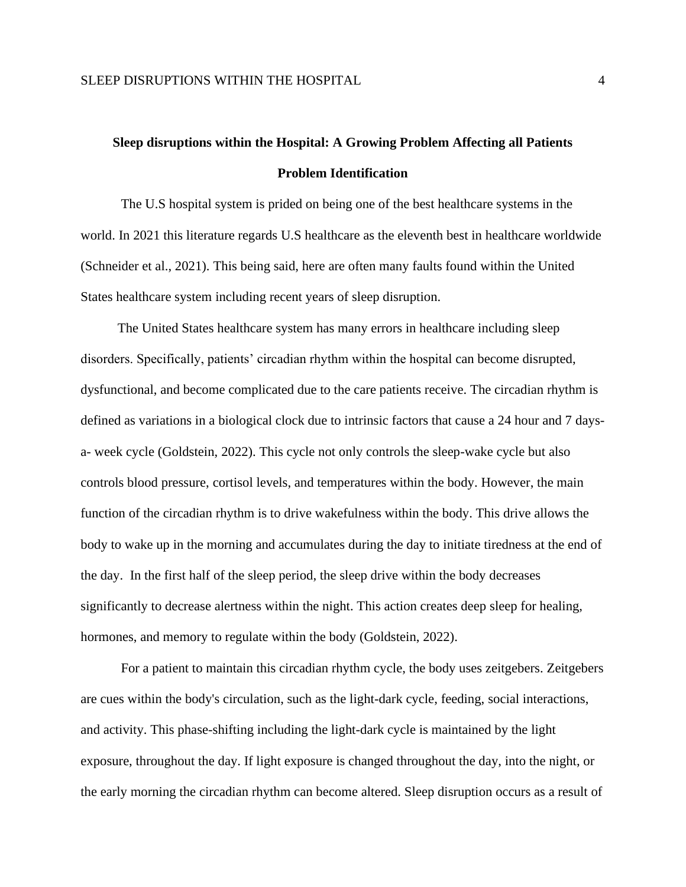# **Sleep disruptions within the Hospital: A Growing Problem Affecting all Patients Problem Identification**

The U.S hospital system is prided on being one of the best healthcare systems in the world. In 2021 this literature regards U.S healthcare as the eleventh best in healthcare worldwide (Schneider et al., 2021). This being said, here are often many faults found within the United States healthcare system including recent years of sleep disruption.

 The United States healthcare system has many errors in healthcare including sleep disorders. Specifically, patients' circadian rhythm within the hospital can become disrupted, dysfunctional, and become complicated due to the care patients receive. The circadian rhythm is defined as variations in a biological clock due to intrinsic factors that cause a 24 hour and 7 daysa- week cycle (Goldstein, 2022). This cycle not only controls the sleep-wake cycle but also controls blood pressure, cortisol levels, and temperatures within the body. However, the main function of the circadian rhythm is to drive wakefulness within the body. This drive allows the body to wake up in the morning and accumulates during the day to initiate tiredness at the end of the day. In the first half of the sleep period, the sleep drive within the body decreases significantly to decrease alertness within the night. This action creates deep sleep for healing, hormones, and memory to regulate within the body (Goldstein, 2022).

For a patient to maintain this circadian rhythm cycle, the body uses zeitgebers. Zeitgebers are cues within the body's circulation, such as the light-dark cycle, feeding, social interactions, and activity. This phase-shifting including the light-dark cycle is maintained by the light exposure, throughout the day. If light exposure is changed throughout the day, into the night, or the early morning the circadian rhythm can become altered. Sleep disruption occurs as a result of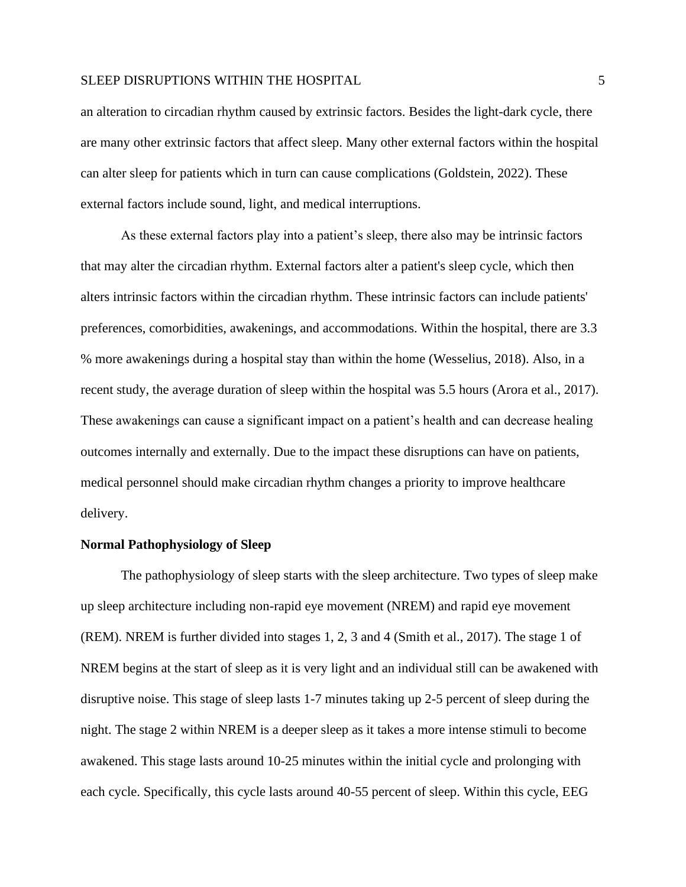an alteration to circadian rhythm caused by extrinsic factors. Besides the light-dark cycle, there are many other extrinsic factors that affect sleep. Many other external factors within the hospital can alter sleep for patients which in turn can cause complications (Goldstein, 2022). These external factors include sound, light, and medical interruptions.

As these external factors play into a patient's sleep, there also may be intrinsic factors that may alter the circadian rhythm. External factors alter a patient's sleep cycle, which then alters intrinsic factors within the circadian rhythm. These intrinsic factors can include patients' preferences, comorbidities, awakenings, and accommodations. Within the hospital, there are 3.3 % more awakenings during a hospital stay than within the home (Wesselius, 2018). Also, in a recent study, the average duration of sleep within the hospital was 5.5 hours (Arora et al., 2017). These awakenings can cause a significant impact on a patient's health and can decrease healing outcomes internally and externally. Due to the impact these disruptions can have on patients, medical personnel should make circadian rhythm changes a priority to improve healthcare delivery.

#### **Normal Pathophysiology of Sleep**

The pathophysiology of sleep starts with the sleep architecture. Two types of sleep make up sleep architecture including non-rapid eye movement (NREM) and rapid eye movement (REM). NREM is further divided into stages 1, 2, 3 and 4 (Smith et al., 2017). The stage 1 of NREM begins at the start of sleep as it is very light and an individual still can be awakened with disruptive noise. This stage of sleep lasts 1-7 minutes taking up 2-5 percent of sleep during the night. The stage 2 within NREM is a deeper sleep as it takes a more intense stimuli to become awakened. This stage lasts around 10-25 minutes within the initial cycle and prolonging with each cycle. Specifically, this cycle lasts around 40-55 percent of sleep. Within this cycle, EEG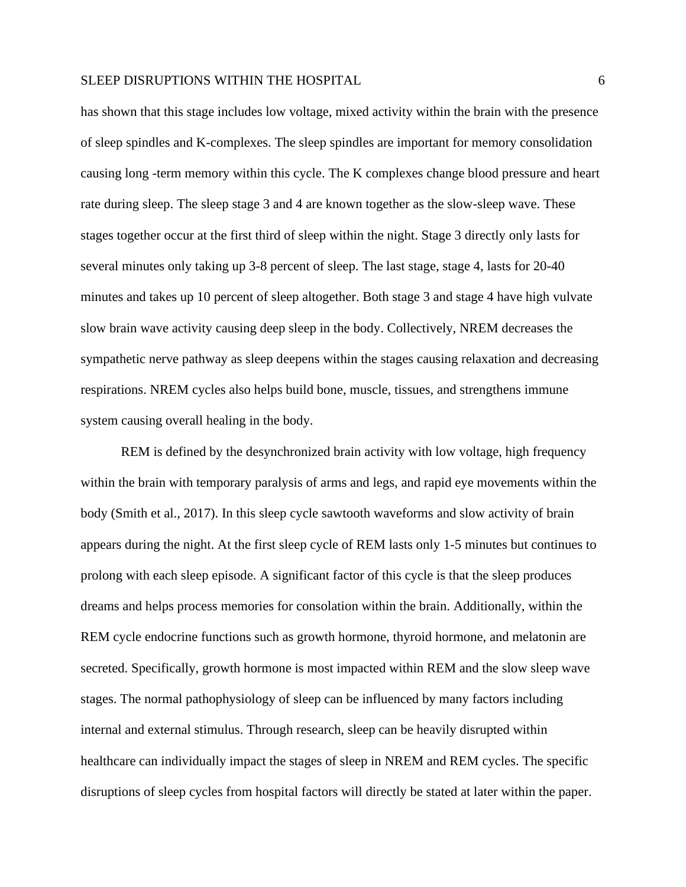has shown that this stage includes low voltage, mixed activity within the brain with the presence of sleep spindles and K-complexes. The sleep spindles are important for memory consolidation causing long -term memory within this cycle. The K complexes change blood pressure and heart rate during sleep. The sleep stage 3 and 4 are known together as the slow-sleep wave. These stages together occur at the first third of sleep within the night. Stage 3 directly only lasts for several minutes only taking up 3-8 percent of sleep. The last stage, stage 4, lasts for 20-40 minutes and takes up 10 percent of sleep altogether. Both stage 3 and stage 4 have high vulvate slow brain wave activity causing deep sleep in the body. Collectively, NREM decreases the sympathetic nerve pathway as sleep deepens within the stages causing relaxation and decreasing respirations. NREM cycles also helps build bone, muscle, tissues, and strengthens immune system causing overall healing in the body.

REM is defined by the desynchronized brain activity with low voltage, high frequency within the brain with temporary paralysis of arms and legs, and rapid eye movements within the body (Smith et al., 2017). In this sleep cycle sawtooth waveforms and slow activity of brain appears during the night. At the first sleep cycle of REM lasts only 1-5 minutes but continues to prolong with each sleep episode. A significant factor of this cycle is that the sleep produces dreams and helps process memories for consolation within the brain. Additionally, within the REM cycle endocrine functions such as growth hormone, thyroid hormone, and melatonin are secreted. Specifically, growth hormone is most impacted within REM and the slow sleep wave stages. The normal pathophysiology of sleep can be influenced by many factors including internal and external stimulus. Through research, sleep can be heavily disrupted within healthcare can individually impact the stages of sleep in NREM and REM cycles. The specific disruptions of sleep cycles from hospital factors will directly be stated at later within the paper.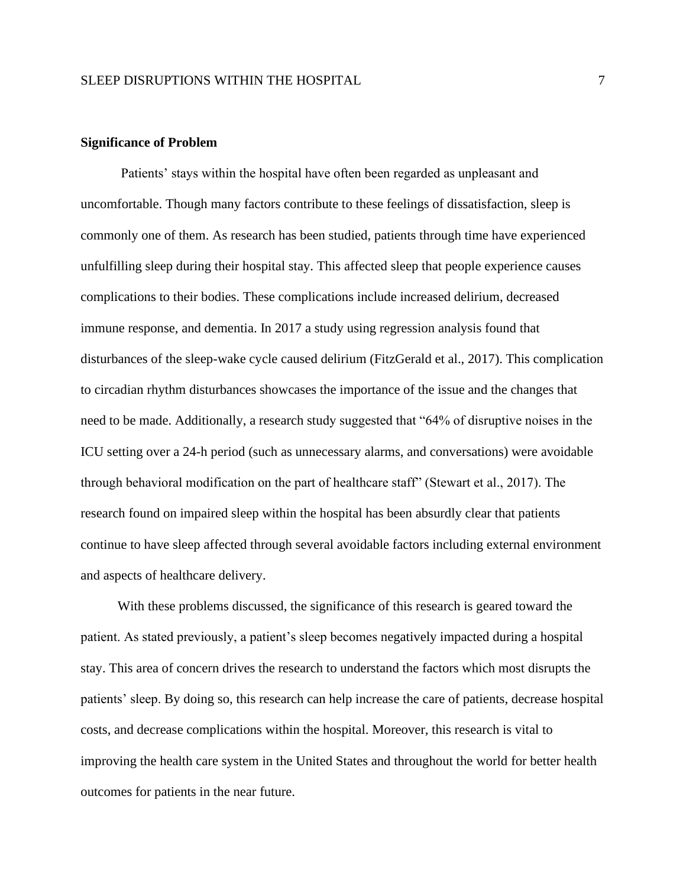## **Significance of Problem**

Patients' stays within the hospital have often been regarded as unpleasant and uncomfortable. Though many factors contribute to these feelings of dissatisfaction, sleep is commonly one of them. As research has been studied, patients through time have experienced unfulfilling sleep during their hospital stay. This affected sleep that people experience causes complications to their bodies. These complications include increased delirium, decreased immune response, and dementia. In 2017 a study using regression analysis found that disturbances of the sleep-wake cycle caused delirium (FitzGerald et al., 2017). This complication to circadian rhythm disturbances showcases the importance of the issue and the changes that need to be made. Additionally, a research study suggested that "64% of disruptive noises in the ICU setting over a 24-h period (such as unnecessary alarms, and conversations) were avoidable through behavioral modification on the part of healthcare staff" (Stewart et al., 2017). The research found on impaired sleep within the hospital has been absurdly clear that patients continue to have sleep affected through several avoidable factors including external environment and aspects of healthcare delivery.

 With these problems discussed, the significance of this research is geared toward the patient. As stated previously, a patient's sleep becomes negatively impacted during a hospital stay. This area of concern drives the research to understand the factors which most disrupts the patients' sleep. By doing so, this research can help increase the care of patients, decrease hospital costs, and decrease complications within the hospital. Moreover, this research is vital to improving the health care system in the United States and throughout the world for better health outcomes for patients in the near future.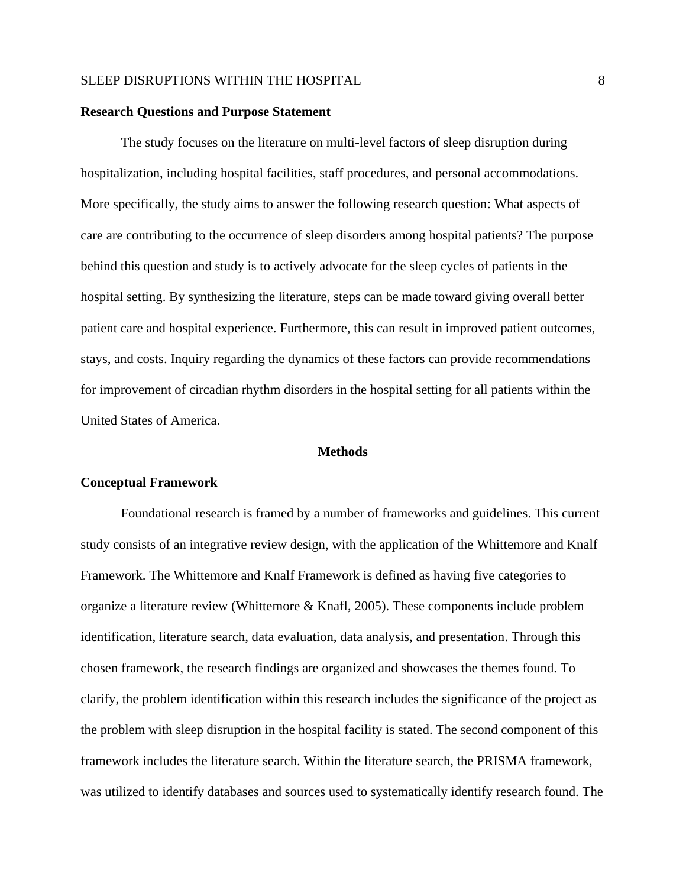## **Research Questions and Purpose Statement**

The study focuses on the literature on multi-level factors of sleep disruption during hospitalization, including hospital facilities, staff procedures, and personal accommodations. More specifically, the study aims to answer the following research question: What aspects of care are contributing to the occurrence of sleep disorders among hospital patients? The purpose behind this question and study is to actively advocate for the sleep cycles of patients in the hospital setting. By synthesizing the literature, steps can be made toward giving overall better patient care and hospital experience. Furthermore, this can result in improved patient outcomes, stays, and costs. Inquiry regarding the dynamics of these factors can provide recommendations for improvement of circadian rhythm disorders in the hospital setting for all patients within the United States of America.

## **Methods**

#### **Conceptual Framework**

Foundational research is framed by a number of frameworks and guidelines. This current study consists of an integrative review design, with the application of the Whittemore and Knalf Framework. The Whittemore and Knalf Framework is defined as having five categories to organize a literature review (Whittemore & Knafl, 2005). These components include problem identification, literature search, data evaluation, data analysis, and presentation. Through this chosen framework, the research findings are organized and showcases the themes found. To clarify, the problem identification within this research includes the significance of the project as the problem with sleep disruption in the hospital facility is stated. The second component of this framework includes the literature search. Within the literature search, the PRISMA framework, was utilized to identify databases and sources used to systematically identify research found. The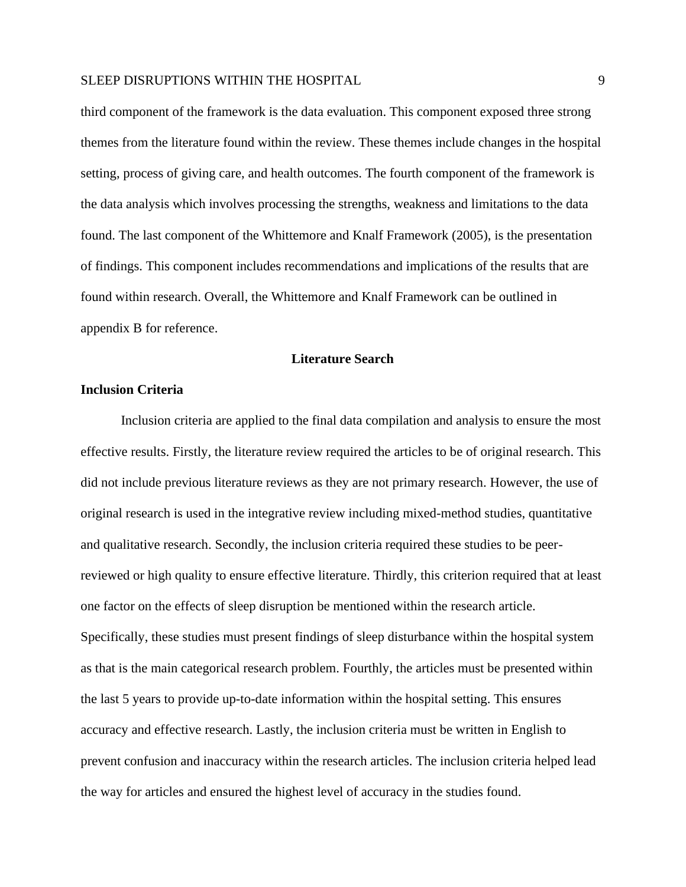third component of the framework is the data evaluation. This component exposed three strong themes from the literature found within the review. These themes include changes in the hospital setting, process of giving care, and health outcomes. The fourth component of the framework is the data analysis which involves processing the strengths, weakness and limitations to the data found. The last component of the Whittemore and Knalf Framework (2005), is the presentation of findings. This component includes recommendations and implications of the results that are found within research. Overall, the Whittemore and Knalf Framework can be outlined in appendix B for reference.

## **Literature Search**

## **Inclusion Criteria**

Inclusion criteria are applied to the final data compilation and analysis to ensure the most effective results. Firstly, the literature review required the articles to be of original research. This did not include previous literature reviews as they are not primary research. However, the use of original research is used in the integrative review including mixed-method studies, quantitative and qualitative research. Secondly, the inclusion criteria required these studies to be peerreviewed or high quality to ensure effective literature. Thirdly, this criterion required that at least one factor on the effects of sleep disruption be mentioned within the research article. Specifically, these studies must present findings of sleep disturbance within the hospital system as that is the main categorical research problem. Fourthly, the articles must be presented within the last 5 years to provide up-to-date information within the hospital setting. This ensures accuracy and effective research. Lastly, the inclusion criteria must be written in English to prevent confusion and inaccuracy within the research articles. The inclusion criteria helped lead the way for articles and ensured the highest level of accuracy in the studies found.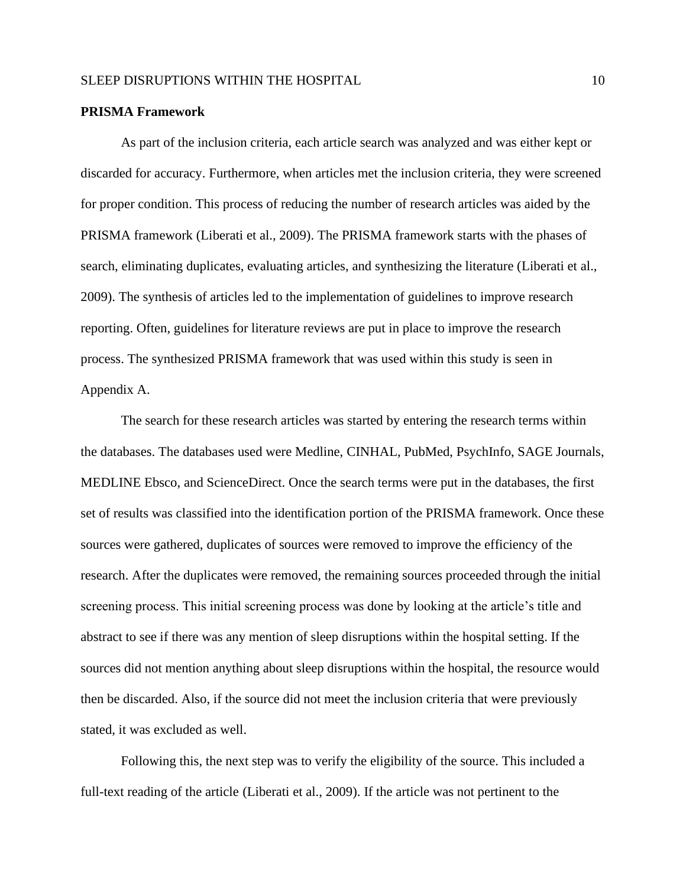#### **PRISMA Framework**

As part of the inclusion criteria, each article search was analyzed and was either kept or discarded for accuracy. Furthermore, when articles met the inclusion criteria, they were screened for proper condition. This process of reducing the number of research articles was aided by the PRISMA framework (Liberati et al., 2009). The PRISMA framework starts with the phases of search, eliminating duplicates, evaluating articles, and synthesizing the literature (Liberati et al., 2009). The synthesis of articles led to the implementation of guidelines to improve research reporting. Often, guidelines for literature reviews are put in place to improve the research process. The synthesized PRISMA framework that was used within this study is seen in Appendix A.

The search for these research articles was started by entering the research terms within the databases. The databases used were Medline, CINHAL, PubMed, PsychInfo, SAGE Journals, MEDLINE Ebsco, and ScienceDirect. Once the search terms were put in the databases, the first set of results was classified into the identification portion of the PRISMA framework. Once these sources were gathered, duplicates of sources were removed to improve the efficiency of the research. After the duplicates were removed, the remaining sources proceeded through the initial screening process. This initial screening process was done by looking at the article's title and abstract to see if there was any mention of sleep disruptions within the hospital setting. If the sources did not mention anything about sleep disruptions within the hospital, the resource would then be discarded. Also, if the source did not meet the inclusion criteria that were previously stated, it was excluded as well.

Following this, the next step was to verify the eligibility of the source. This included a full-text reading of the article (Liberati et al., 2009). If the article was not pertinent to the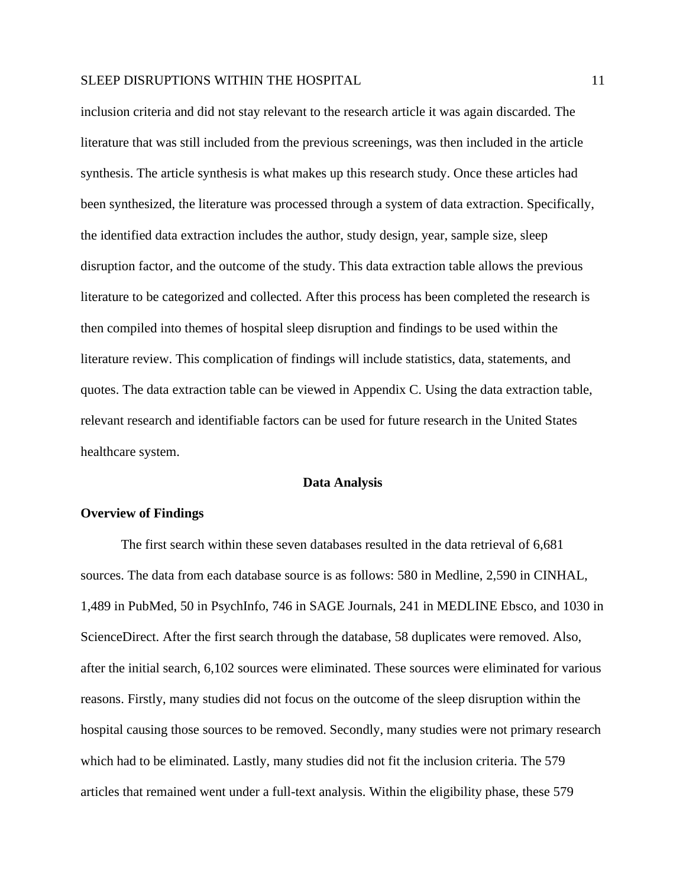inclusion criteria and did not stay relevant to the research article it was again discarded. The literature that was still included from the previous screenings, was then included in the article synthesis. The article synthesis is what makes up this research study. Once these articles had been synthesized, the literature was processed through a system of data extraction. Specifically, the identified data extraction includes the author, study design, year, sample size, sleep disruption factor, and the outcome of the study. This data extraction table allows the previous literature to be categorized and collected. After this process has been completed the research is then compiled into themes of hospital sleep disruption and findings to be used within the literature review. This complication of findings will include statistics, data, statements, and quotes. The data extraction table can be viewed in Appendix C. Using the data extraction table, relevant research and identifiable factors can be used for future research in the United States healthcare system.

#### **Data Analysis**

## **Overview of Findings**

The first search within these seven databases resulted in the data retrieval of 6,681 sources. The data from each database source is as follows: 580 in Medline, 2,590 in CINHAL, 1,489 in PubMed, 50 in PsychInfo, 746 in SAGE Journals, 241 in MEDLINE Ebsco, and 1030 in ScienceDirect. After the first search through the database, 58 duplicates were removed. Also, after the initial search, 6,102 sources were eliminated. These sources were eliminated for various reasons. Firstly, many studies did not focus on the outcome of the sleep disruption within the hospital causing those sources to be removed. Secondly, many studies were not primary research which had to be eliminated. Lastly, many studies did not fit the inclusion criteria. The 579 articles that remained went under a full-text analysis. Within the eligibility phase, these 579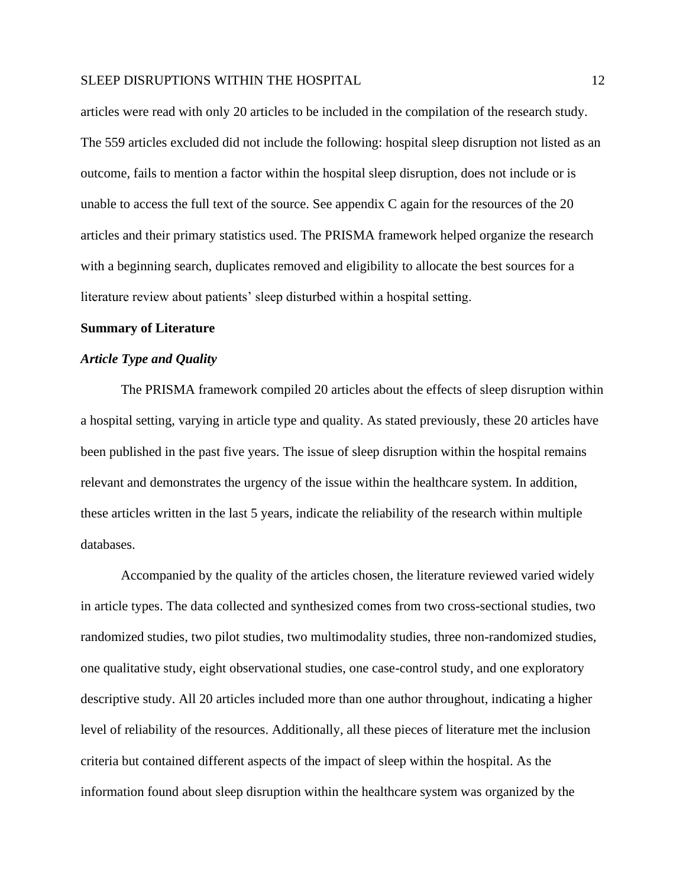articles were read with only 20 articles to be included in the compilation of the research study. The 559 articles excluded did not include the following: hospital sleep disruption not listed as an outcome, fails to mention a factor within the hospital sleep disruption, does not include or is unable to access the full text of the source. See appendix C again for the resources of the 20 articles and their primary statistics used. The PRISMA framework helped organize the research with a beginning search, duplicates removed and eligibility to allocate the best sources for a literature review about patients' sleep disturbed within a hospital setting.

#### **Summary of Literature**

## *Article Type and Quality*

The PRISMA framework compiled 20 articles about the effects of sleep disruption within a hospital setting, varying in article type and quality. As stated previously, these 20 articles have been published in the past five years. The issue of sleep disruption within the hospital remains relevant and demonstrates the urgency of the issue within the healthcare system. In addition, these articles written in the last 5 years, indicate the reliability of the research within multiple databases.

Accompanied by the quality of the articles chosen, the literature reviewed varied widely in article types. The data collected and synthesized comes from two cross-sectional studies, two randomized studies, two pilot studies, two multimodality studies, three non-randomized studies, one qualitative study, eight observational studies, one case-control study, and one exploratory descriptive study. All 20 articles included more than one author throughout, indicating a higher level of reliability of the resources. Additionally, all these pieces of literature met the inclusion criteria but contained different aspects of the impact of sleep within the hospital. As the information found about sleep disruption within the healthcare system was organized by the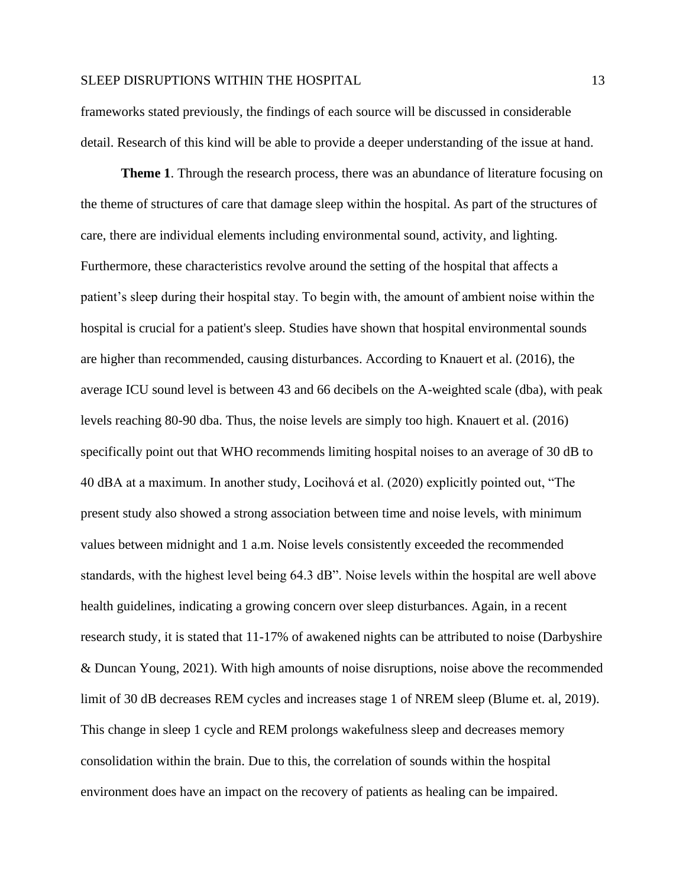frameworks stated previously, the findings of each source will be discussed in considerable detail. Research of this kind will be able to provide a deeper understanding of the issue at hand.

**Theme 1**. Through the research process, there was an abundance of literature focusing on the theme of structures of care that damage sleep within the hospital. As part of the structures of care, there are individual elements including environmental sound, activity, and lighting. Furthermore, these characteristics revolve around the setting of the hospital that affects a patient's sleep during their hospital stay. To begin with, the amount of ambient noise within the hospital is crucial for a patient's sleep. Studies have shown that hospital environmental sounds are higher than recommended, causing disturbances. According to Knauert et al. (2016), the average ICU sound level is between 43 and 66 decibels on the A-weighted scale (dba), with peak levels reaching 80-90 dba. Thus, the noise levels are simply too high. Knauert et al. (2016) specifically point out that WHO recommends limiting hospital noises to an average of 30 dB to 40 dBA at a maximum. In another study, Locihová et al. (2020) explicitly pointed out, "The present study also showed a strong association between time and noise levels, with minimum values between midnight and 1 a.m. Noise levels consistently exceeded the recommended standards, with the highest level being 64.3 dB". Noise levels within the hospital are well above health guidelines, indicating a growing concern over sleep disturbances. Again, in a recent research study, it is stated that 11-17% of awakened nights can be attributed to noise (Darbyshire & Duncan Young, 2021). With high amounts of noise disruptions, noise above the recommended limit of 30 dB decreases REM cycles and increases stage 1 of NREM sleep (Blume et. al, 2019). This change in sleep 1 cycle and REM prolongs wakefulness sleep and decreases memory consolidation within the brain. Due to this, the correlation of sounds within the hospital environment does have an impact on the recovery of patients as healing can be impaired.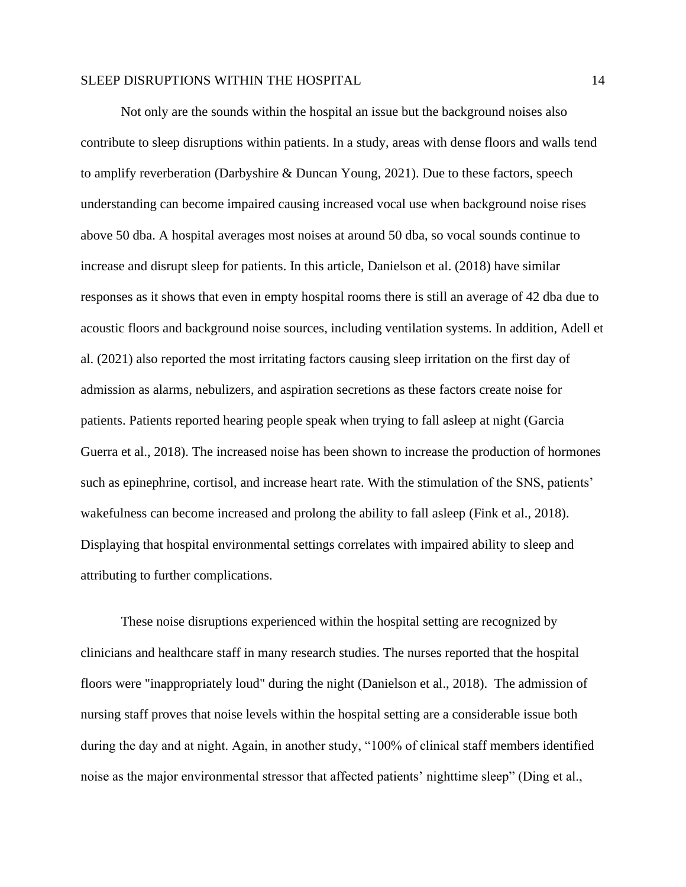Not only are the sounds within the hospital an issue but the background noises also contribute to sleep disruptions within patients. In a study, areas with dense floors and walls tend to amplify reverberation (Darbyshire & Duncan Young, 2021). Due to these factors, speech understanding can become impaired causing increased vocal use when background noise rises above 50 dba. A hospital averages most noises at around 50 dba, so vocal sounds continue to increase and disrupt sleep for patients. In this article, Danielson et al. (2018) have similar responses as it shows that even in empty hospital rooms there is still an average of 42 dba due to acoustic floors and background noise sources, including ventilation systems. In addition, Adell et al. (2021) also reported the most irritating factors causing sleep irritation on the first day of admission as alarms, nebulizers, and aspiration secretions as these factors create noise for patients. Patients reported hearing people speak when trying to fall asleep at night (Garcia Guerra et al., 2018). The increased noise has been shown to increase the production of hormones such as epinephrine, cortisol, and increase heart rate. With the stimulation of the SNS, patients' wakefulness can become increased and prolong the ability to fall asleep (Fink et al., 2018). Displaying that hospital environmental settings correlates with impaired ability to sleep and attributing to further complications.

These noise disruptions experienced within the hospital setting are recognized by clinicians and healthcare staff in many research studies. The nurses reported that the hospital floors were "inappropriately loud" during the night (Danielson et al., 2018). The admission of nursing staff proves that noise levels within the hospital setting are a considerable issue both during the day and at night. Again, in another study, "100% of clinical staff members identified noise as the major environmental stressor that affected patients' nighttime sleep" (Ding et al.,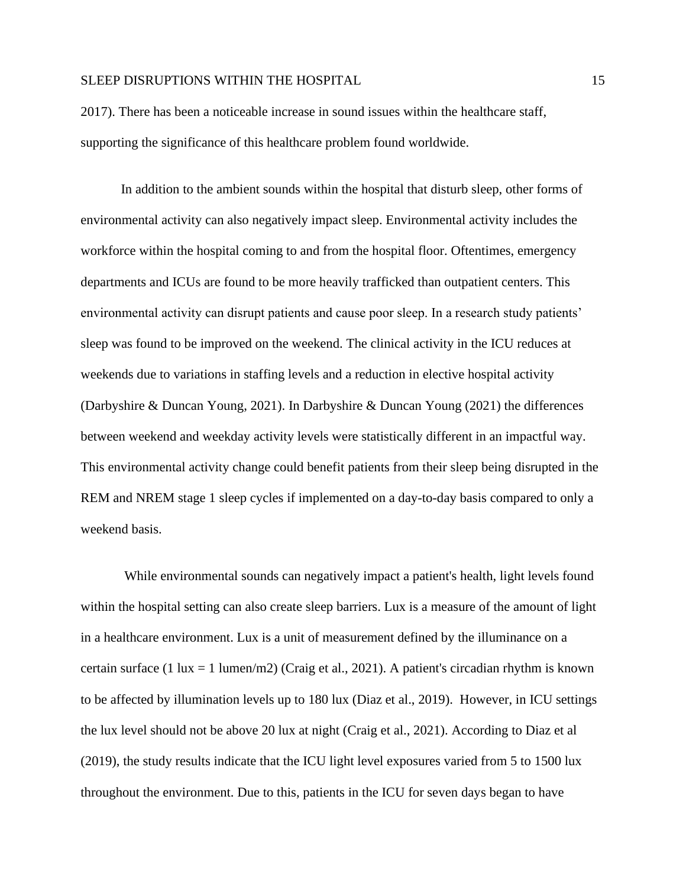2017). There has been a noticeable increase in sound issues within the healthcare staff, supporting the significance of this healthcare problem found worldwide.

In addition to the ambient sounds within the hospital that disturb sleep, other forms of environmental activity can also negatively impact sleep. Environmental activity includes the workforce within the hospital coming to and from the hospital floor. Oftentimes, emergency departments and ICUs are found to be more heavily trafficked than outpatient centers. This environmental activity can disrupt patients and cause poor sleep. In a research study patients' sleep was found to be improved on the weekend. The clinical activity in the ICU reduces at weekends due to variations in staffing levels and a reduction in elective hospital activity (Darbyshire & Duncan Young, 2021). In Darbyshire & Duncan Young (2021) the differences between weekend and weekday activity levels were statistically different in an impactful way. This environmental activity change could benefit patients from their sleep being disrupted in the REM and NREM stage 1 sleep cycles if implemented on a day-to-day basis compared to only a weekend basis.

While environmental sounds can negatively impact a patient's health, light levels found within the hospital setting can also create sleep barriers. Lux is a measure of the amount of light in a healthcare environment. Lux is a unit of measurement defined by the illuminance on a certain surface (1 lux = 1 lumen/m2) (Craig et al., 2021). A patient's circadian rhythm is known to be affected by illumination levels up to 180 lux (Diaz et al., 2019). However, in ICU settings the lux level should not be above 20 lux at night (Craig et al., 2021). According to Diaz et al (2019), the study results indicate that the ICU light level exposures varied from 5 to 1500 lux throughout the environment. Due to this, patients in the ICU for seven days began to have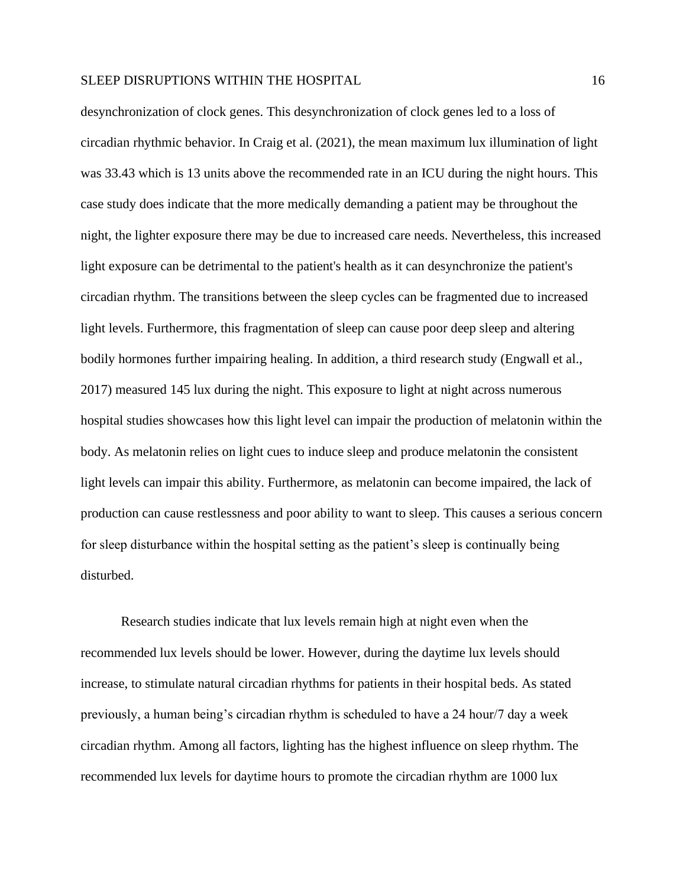desynchronization of clock genes. This desynchronization of clock genes led to a loss of circadian rhythmic behavior. In Craig et al. (2021), the mean maximum lux illumination of light was 33.43 which is 13 units above the recommended rate in an ICU during the night hours. This case study does indicate that the more medically demanding a patient may be throughout the night, the lighter exposure there may be due to increased care needs. Nevertheless, this increased light exposure can be detrimental to the patient's health as it can desynchronize the patient's circadian rhythm. The transitions between the sleep cycles can be fragmented due to increased light levels. Furthermore, this fragmentation of sleep can cause poor deep sleep and altering bodily hormones further impairing healing. In addition, a third research study (Engwall et al., 2017) measured 145 lux during the night. This exposure to light at night across numerous hospital studies showcases how this light level can impair the production of melatonin within the body. As melatonin relies on light cues to induce sleep and produce melatonin the consistent light levels can impair this ability. Furthermore, as melatonin can become impaired, the lack of production can cause restlessness and poor ability to want to sleep. This causes a serious concern for sleep disturbance within the hospital setting as the patient's sleep is continually being disturbed.

Research studies indicate that lux levels remain high at night even when the recommended lux levels should be lower. However, during the daytime lux levels should increase, to stimulate natural circadian rhythms for patients in their hospital beds. As stated previously, a human being's circadian rhythm is scheduled to have a 24 hour/7 day a week circadian rhythm. Among all factors, lighting has the highest influence on sleep rhythm. The recommended lux levels for daytime hours to promote the circadian rhythm are 1000 lux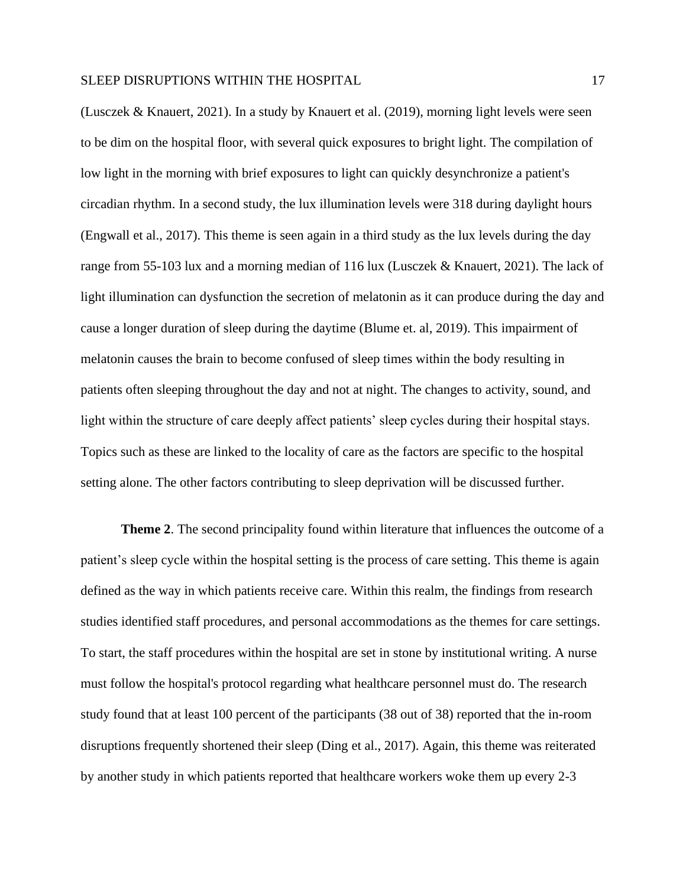(Lusczek & Knauert, 2021). In a study by Knauert et al. (2019), morning light levels were seen to be dim on the hospital floor, with several quick exposures to bright light. The compilation of low light in the morning with brief exposures to light can quickly desynchronize a patient's circadian rhythm. In a second study, the lux illumination levels were 318 during daylight hours (Engwall et al., 2017). This theme is seen again in a third study as the lux levels during the day range from 55-103 lux and a morning median of 116 lux (Lusczek & Knauert, 2021). The lack of light illumination can dysfunction the secretion of melatonin as it can produce during the day and cause a longer duration of sleep during the daytime (Blume et. al, 2019). This impairment of melatonin causes the brain to become confused of sleep times within the body resulting in patients often sleeping throughout the day and not at night. The changes to activity, sound, and light within the structure of care deeply affect patients' sleep cycles during their hospital stays. Topics such as these are linked to the locality of care as the factors are specific to the hospital setting alone. The other factors contributing to sleep deprivation will be discussed further.

**Theme 2**. The second principality found within literature that influences the outcome of a patient's sleep cycle within the hospital setting is the process of care setting. This theme is again defined as the way in which patients receive care. Within this realm, the findings from research studies identified staff procedures, and personal accommodations as the themes for care settings. To start, the staff procedures within the hospital are set in stone by institutional writing. A nurse must follow the hospital's protocol regarding what healthcare personnel must do. The research study found that at least 100 percent of the participants (38 out of 38) reported that the in-room disruptions frequently shortened their sleep (Ding et al., 2017). Again, this theme was reiterated by another study in which patients reported that healthcare workers woke them up every 2-3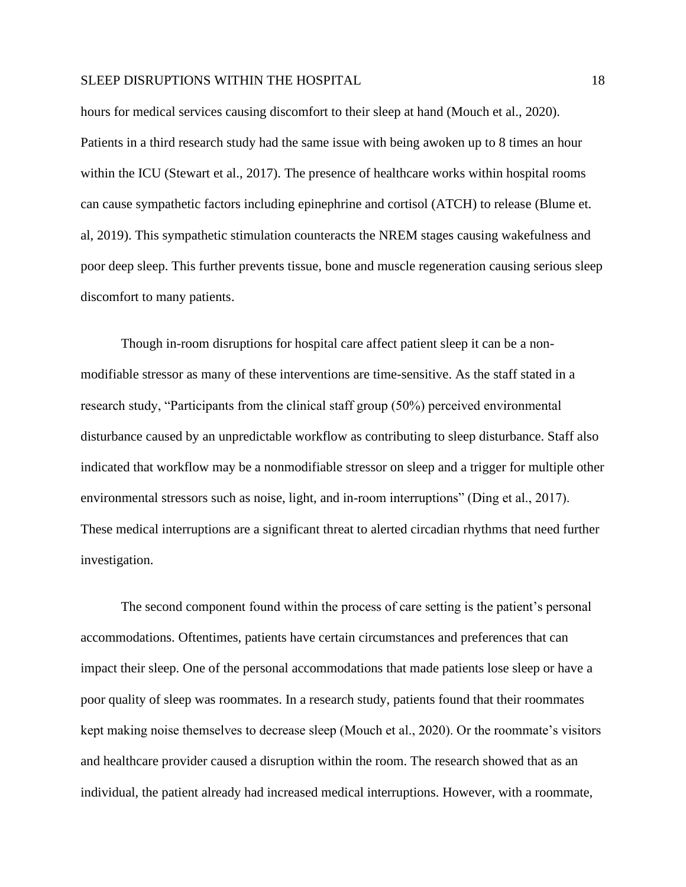hours for medical services causing discomfort to their sleep at hand (Mouch et al., 2020). Patients in a third research study had the same issue with being awoken up to 8 times an hour within the ICU (Stewart et al., 2017). The presence of healthcare works within hospital rooms can cause sympathetic factors including epinephrine and cortisol (ATCH) to release (Blume et. al, 2019). This sympathetic stimulation counteracts the NREM stages causing wakefulness and poor deep sleep. This further prevents tissue, bone and muscle regeneration causing serious sleep discomfort to many patients.

Though in-room disruptions for hospital care affect patient sleep it can be a nonmodifiable stressor as many of these interventions are time-sensitive. As the staff stated in a research study, "Participants from the clinical staff group (50%) perceived environmental disturbance caused by an unpredictable workflow as contributing to sleep disturbance. Staff also indicated that workflow may be a nonmodifiable stressor on sleep and a trigger for multiple other environmental stressors such as noise, light, and in-room interruptions" (Ding et al., 2017). These medical interruptions are a significant threat to alerted circadian rhythms that need further investigation.

The second component found within the process of care setting is the patient's personal accommodations. Oftentimes, patients have certain circumstances and preferences that can impact their sleep. One of the personal accommodations that made patients lose sleep or have a poor quality of sleep was roommates. In a research study, patients found that their roommates kept making noise themselves to decrease sleep (Mouch et al., 2020). Or the roommate's visitors and healthcare provider caused a disruption within the room. The research showed that as an individual, the patient already had increased medical interruptions. However, with a roommate,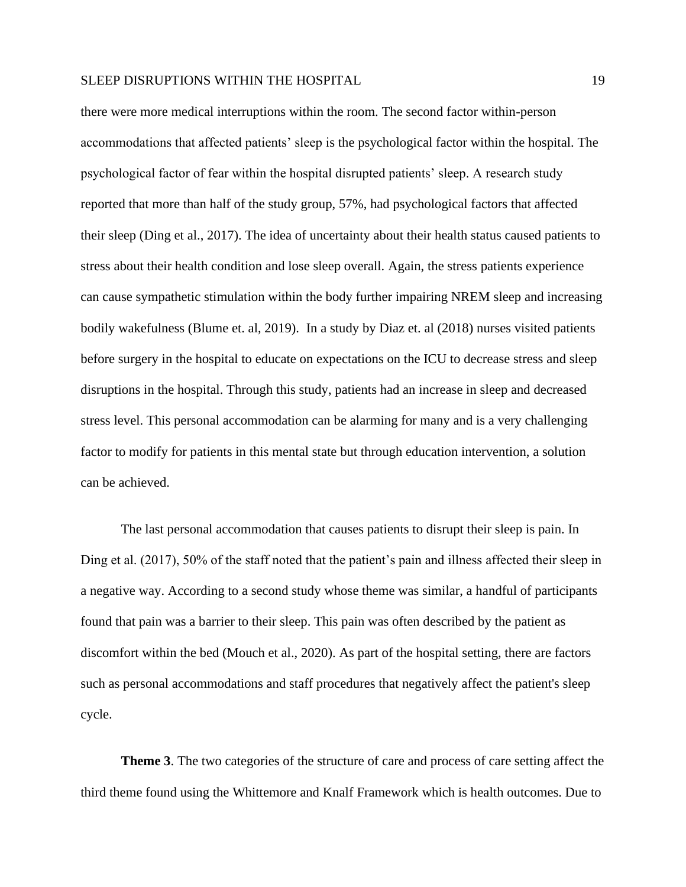there were more medical interruptions within the room. The second factor within-person accommodations that affected patients' sleep is the psychological factor within the hospital. The psychological factor of fear within the hospital disrupted patients' sleep. A research study reported that more than half of the study group, 57%, had psychological factors that affected their sleep (Ding et al., 2017). The idea of uncertainty about their health status caused patients to stress about their health condition and lose sleep overall. Again, the stress patients experience can cause sympathetic stimulation within the body further impairing NREM sleep and increasing bodily wakefulness (Blume et. al, 2019). In a study by Diaz et. al (2018) nurses visited patients before surgery in the hospital to educate on expectations on the ICU to decrease stress and sleep disruptions in the hospital. Through this study, patients had an increase in sleep and decreased stress level. This personal accommodation can be alarming for many and is a very challenging factor to modify for patients in this mental state but through education intervention, a solution can be achieved.

The last personal accommodation that causes patients to disrupt their sleep is pain. In Ding et al. (2017), 50% of the staff noted that the patient's pain and illness affected their sleep in a negative way. According to a second study whose theme was similar, a handful of participants found that pain was a barrier to their sleep. This pain was often described by the patient as discomfort within the bed (Mouch et al., 2020). As part of the hospital setting, there are factors such as personal accommodations and staff procedures that negatively affect the patient's sleep cycle.

**Theme 3**. The two categories of the structure of care and process of care setting affect the third theme found using the Whittemore and Knalf Framework which is health outcomes. Due to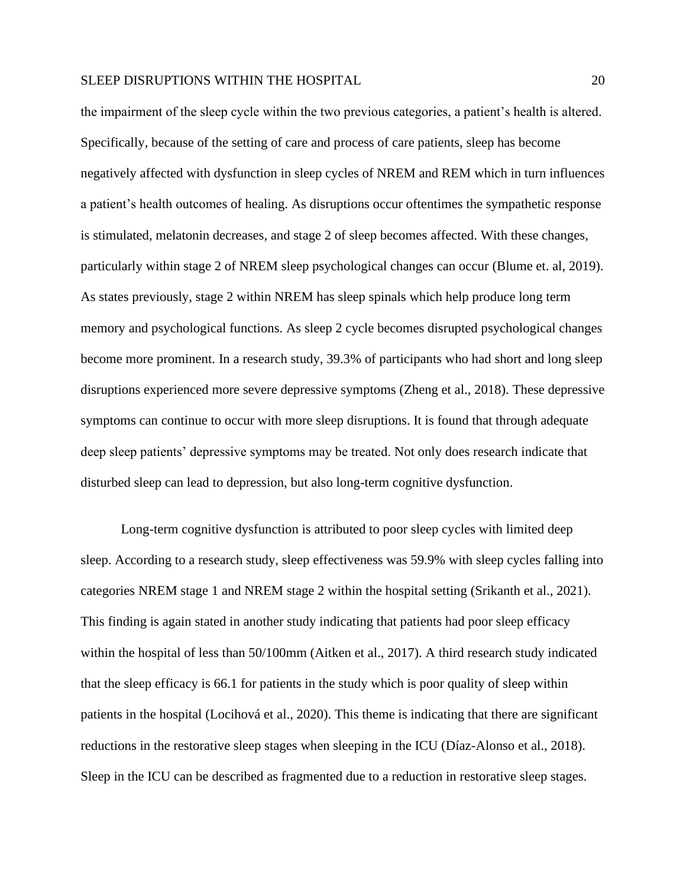the impairment of the sleep cycle within the two previous categories, a patient's health is altered. Specifically, because of the setting of care and process of care patients, sleep has become negatively affected with dysfunction in sleep cycles of NREM and REM which in turn influences a patient's health outcomes of healing. As disruptions occur oftentimes the sympathetic response is stimulated, melatonin decreases, and stage 2 of sleep becomes affected. With these changes, particularly within stage 2 of NREM sleep psychological changes can occur (Blume et. al, 2019). As states previously, stage 2 within NREM has sleep spinals which help produce long term memory and psychological functions. As sleep 2 cycle becomes disrupted psychological changes become more prominent. In a research study, 39.3% of participants who had short and long sleep disruptions experienced more severe depressive symptoms (Zheng et al., 2018). These depressive symptoms can continue to occur with more sleep disruptions. It is found that through adequate deep sleep patients' depressive symptoms may be treated. Not only does research indicate that disturbed sleep can lead to depression, but also long-term cognitive dysfunction.

Long-term cognitive dysfunction is attributed to poor sleep cycles with limited deep sleep. According to a research study, sleep effectiveness was 59.9% with sleep cycles falling into categories NREM stage 1 and NREM stage 2 within the hospital setting (Srikanth et al., 2021). This finding is again stated in another study indicating that patients had poor sleep efficacy within the hospital of less than 50/100mm (Aitken et al., 2017). A third research study indicated that the sleep efficacy is 66.1 for patients in the study which is poor quality of sleep within patients in the hospital (Locihová et al., 2020). This theme is indicating that there are significant reductions in the restorative sleep stages when sleeping in the ICU (Díaz-Alonso et al., 2018). Sleep in the ICU can be described as fragmented due to a reduction in restorative sleep stages.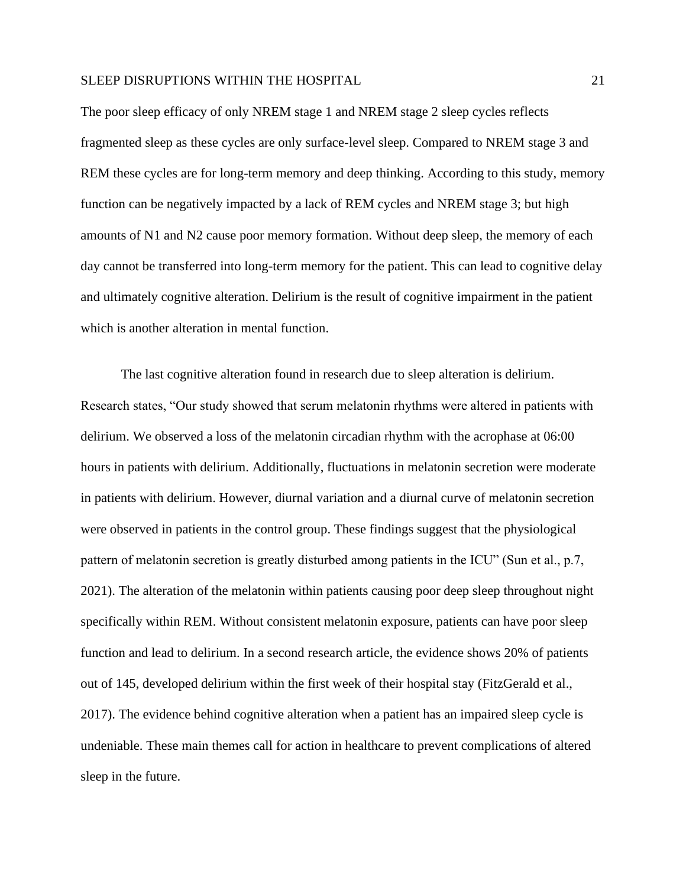The poor sleep efficacy of only NREM stage 1 and NREM stage 2 sleep cycles reflects fragmented sleep as these cycles are only surface-level sleep. Compared to NREM stage 3 and REM these cycles are for long-term memory and deep thinking. According to this study, memory function can be negatively impacted by a lack of REM cycles and NREM stage 3; but high amounts of N1 and N2 cause poor memory formation. Without deep sleep, the memory of each day cannot be transferred into long-term memory for the patient. This can lead to cognitive delay and ultimately cognitive alteration. Delirium is the result of cognitive impairment in the patient which is another alteration in mental function.

The last cognitive alteration found in research due to sleep alteration is delirium. Research states, "Our study showed that serum melatonin rhythms were altered in patients with delirium. We observed a loss of the melatonin circadian rhythm with the acrophase at 06:00 hours in patients with delirium. Additionally, fluctuations in melatonin secretion were moderate in patients with delirium. However, diurnal variation and a diurnal curve of melatonin secretion were observed in patients in the control group. These findings suggest that the physiological pattern of melatonin secretion is greatly disturbed among patients in the ICU" (Sun et al., p.7, 2021). The alteration of the melatonin within patients causing poor deep sleep throughout night specifically within REM. Without consistent melatonin exposure, patients can have poor sleep function and lead to delirium. In a second research article, the evidence shows 20% of patients out of 145, developed delirium within the first week of their hospital stay (FitzGerald et al., 2017). The evidence behind cognitive alteration when a patient has an impaired sleep cycle is undeniable. These main themes call for action in healthcare to prevent complications of altered sleep in the future.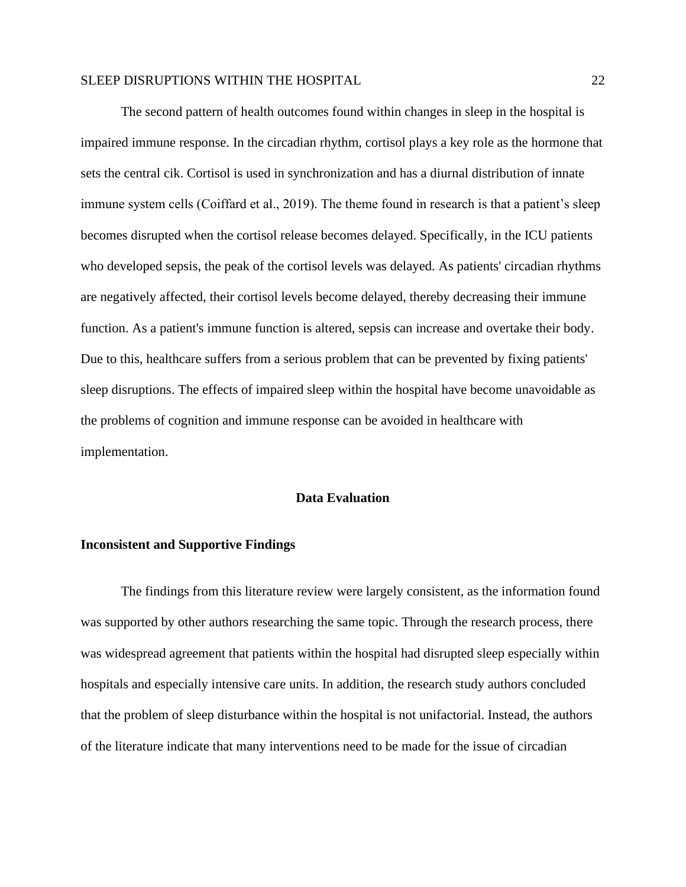The second pattern of health outcomes found within changes in sleep in the hospital is impaired immune response. In the circadian rhythm, cortisol plays a key role as the hormone that sets the central cik. Cortisol is used in synchronization and has a diurnal distribution of innate immune system cells (Coiffard et al., 2019). The theme found in research is that a patient's sleep becomes disrupted when the cortisol release becomes delayed. Specifically, in the ICU patients who developed sepsis, the peak of the cortisol levels was delayed. As patients' circadian rhythms are negatively affected, their cortisol levels become delayed, thereby decreasing their immune function. As a patient's immune function is altered, sepsis can increase and overtake their body. Due to this, healthcare suffers from a serious problem that can be prevented by fixing patients' sleep disruptions. The effects of impaired sleep within the hospital have become unavoidable as the problems of cognition and immune response can be avoided in healthcare with implementation.

#### **Data Evaluation**

#### **Inconsistent and Supportive Findings**

The findings from this literature review were largely consistent, as the information found was supported by other authors researching the same topic. Through the research process, there was widespread agreement that patients within the hospital had disrupted sleep especially within hospitals and especially intensive care units. In addition, the research study authors concluded that the problem of sleep disturbance within the hospital is not unifactorial. Instead, the authors of the literature indicate that many interventions need to be made for the issue of circadian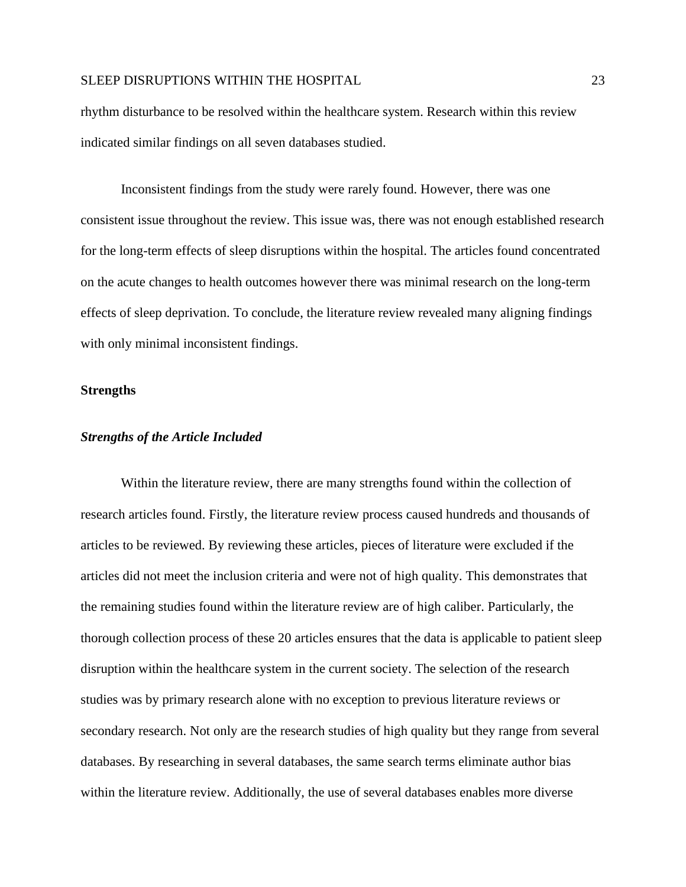rhythm disturbance to be resolved within the healthcare system. Research within this review indicated similar findings on all seven databases studied.

 Inconsistent findings from the study were rarely found. However, there was one consistent issue throughout the review. This issue was, there was not enough established research for the long-term effects of sleep disruptions within the hospital. The articles found concentrated on the acute changes to health outcomes however there was minimal research on the long-term effects of sleep deprivation. To conclude, the literature review revealed many aligning findings with only minimal inconsistent findings.

#### **Strengths**

#### *Strengths of the Article Included*

Within the literature review, there are many strengths found within the collection of research articles found. Firstly, the literature review process caused hundreds and thousands of articles to be reviewed. By reviewing these articles, pieces of literature were excluded if the articles did not meet the inclusion criteria and were not of high quality. This demonstrates that the remaining studies found within the literature review are of high caliber. Particularly, the thorough collection process of these 20 articles ensures that the data is applicable to patient sleep disruption within the healthcare system in the current society. The selection of the research studies was by primary research alone with no exception to previous literature reviews or secondary research. Not only are the research studies of high quality but they range from several databases. By researching in several databases, the same search terms eliminate author bias within the literature review. Additionally, the use of several databases enables more diverse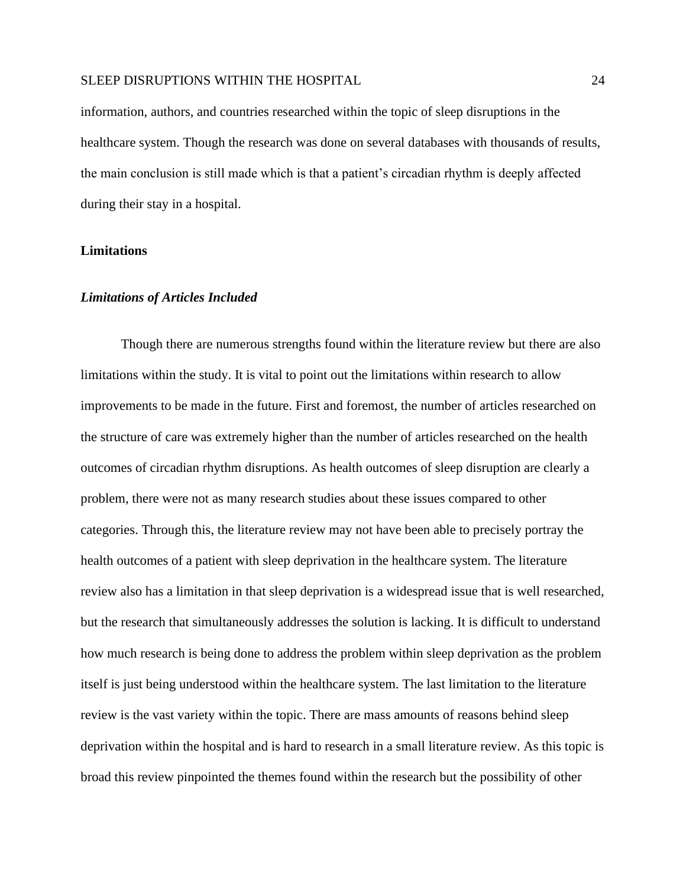information, authors, and countries researched within the topic of sleep disruptions in the healthcare system. Though the research was done on several databases with thousands of results, the main conclusion is still made which is that a patient's circadian rhythm is deeply affected during their stay in a hospital.

## **Limitations**

#### *Limitations of Articles Included*

Though there are numerous strengths found within the literature review but there are also limitations within the study. It is vital to point out the limitations within research to allow improvements to be made in the future. First and foremost, the number of articles researched on the structure of care was extremely higher than the number of articles researched on the health outcomes of circadian rhythm disruptions. As health outcomes of sleep disruption are clearly a problem, there were not as many research studies about these issues compared to other categories. Through this, the literature review may not have been able to precisely portray the health outcomes of a patient with sleep deprivation in the healthcare system. The literature review also has a limitation in that sleep deprivation is a widespread issue that is well researched, but the research that simultaneously addresses the solution is lacking. It is difficult to understand how much research is being done to address the problem within sleep deprivation as the problem itself is just being understood within the healthcare system. The last limitation to the literature review is the vast variety within the topic. There are mass amounts of reasons behind sleep deprivation within the hospital and is hard to research in a small literature review. As this topic is broad this review pinpointed the themes found within the research but the possibility of other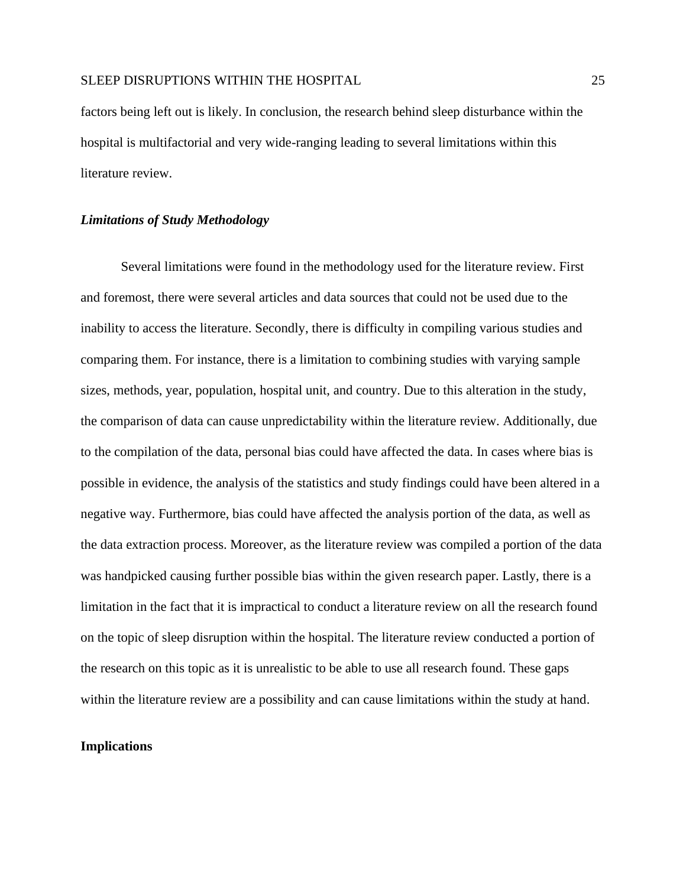factors being left out is likely. In conclusion, the research behind sleep disturbance within the hospital is multifactorial and very wide-ranging leading to several limitations within this literature review.

### *Limitations of Study Methodology*

Several limitations were found in the methodology used for the literature review. First and foremost, there were several articles and data sources that could not be used due to the inability to access the literature. Secondly, there is difficulty in compiling various studies and comparing them. For instance, there is a limitation to combining studies with varying sample sizes, methods, year, population, hospital unit, and country. Due to this alteration in the study, the comparison of data can cause unpredictability within the literature review. Additionally, due to the compilation of the data, personal bias could have affected the data. In cases where bias is possible in evidence, the analysis of the statistics and study findings could have been altered in a negative way. Furthermore, bias could have affected the analysis portion of the data, as well as the data extraction process. Moreover, as the literature review was compiled a portion of the data was handpicked causing further possible bias within the given research paper. Lastly, there is a limitation in the fact that it is impractical to conduct a literature review on all the research found on the topic of sleep disruption within the hospital. The literature review conducted a portion of the research on this topic as it is unrealistic to be able to use all research found. These gaps within the literature review are a possibility and can cause limitations within the study at hand.

## **Implications**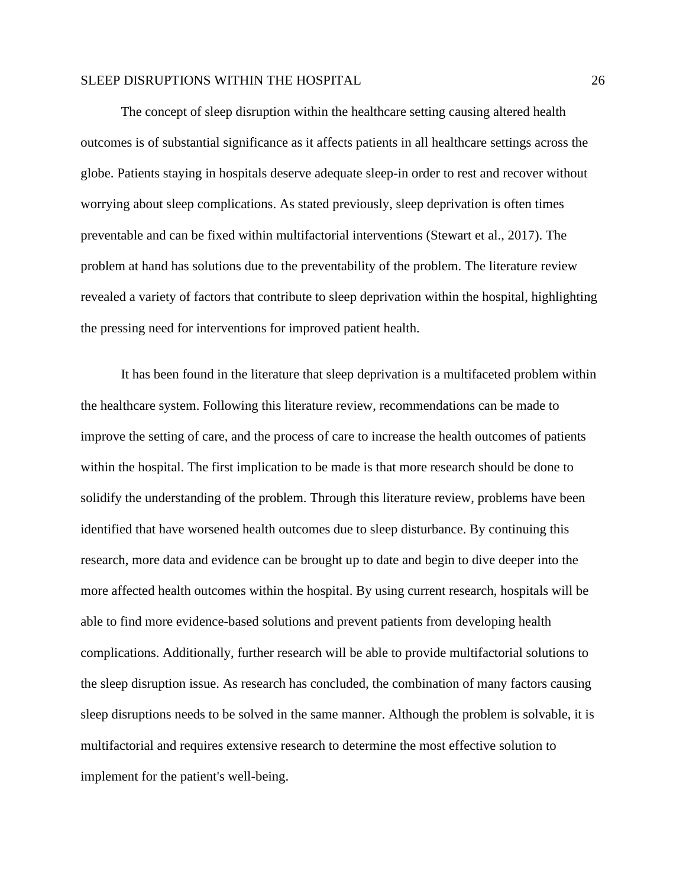The concept of sleep disruption within the healthcare setting causing altered health outcomes is of substantial significance as it affects patients in all healthcare settings across the globe. Patients staying in hospitals deserve adequate sleep-in order to rest and recover without worrying about sleep complications. As stated previously, sleep deprivation is often times preventable and can be fixed within multifactorial interventions (Stewart et al., 2017). The problem at hand has solutions due to the preventability of the problem. The literature review revealed a variety of factors that contribute to sleep deprivation within the hospital, highlighting the pressing need for interventions for improved patient health.

 It has been found in the literature that sleep deprivation is a multifaceted problem within the healthcare system. Following this literature review, recommendations can be made to improve the setting of care, and the process of care to increase the health outcomes of patients within the hospital. The first implication to be made is that more research should be done to solidify the understanding of the problem. Through this literature review, problems have been identified that have worsened health outcomes due to sleep disturbance. By continuing this research, more data and evidence can be brought up to date and begin to dive deeper into the more affected health outcomes within the hospital. By using current research, hospitals will be able to find more evidence-based solutions and prevent patients from developing health complications. Additionally, further research will be able to provide multifactorial solutions to the sleep disruption issue. As research has concluded, the combination of many factors causing sleep disruptions needs to be solved in the same manner. Although the problem is solvable, it is multifactorial and requires extensive research to determine the most effective solution to implement for the patient's well-being.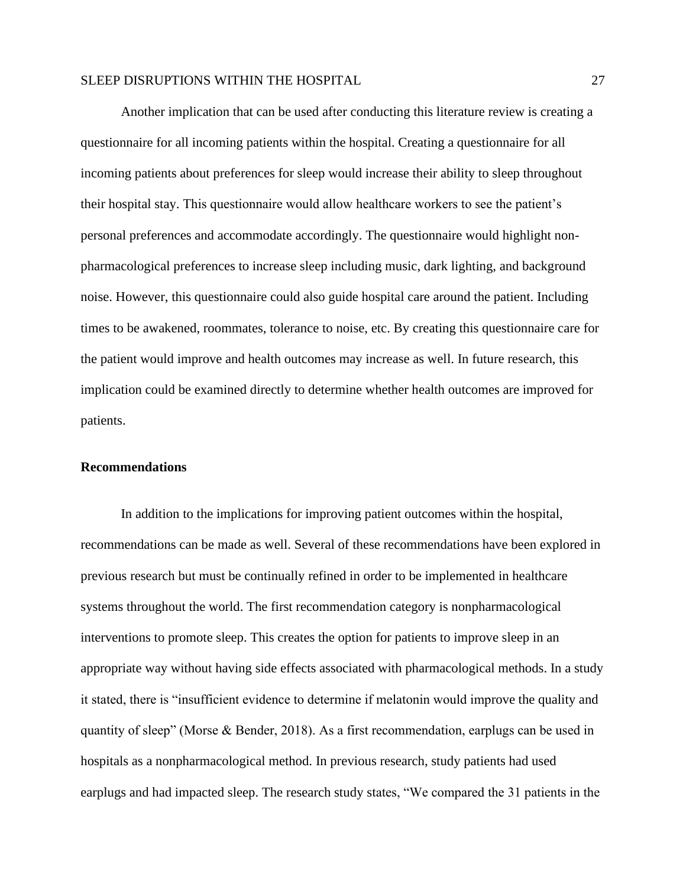Another implication that can be used after conducting this literature review is creating a questionnaire for all incoming patients within the hospital. Creating a questionnaire for all incoming patients about preferences for sleep would increase their ability to sleep throughout their hospital stay. This questionnaire would allow healthcare workers to see the patient's personal preferences and accommodate accordingly. The questionnaire would highlight nonpharmacological preferences to increase sleep including music, dark lighting, and background noise. However, this questionnaire could also guide hospital care around the patient. Including times to be awakened, roommates, tolerance to noise, etc. By creating this questionnaire care for the patient would improve and health outcomes may increase as well. In future research, this implication could be examined directly to determine whether health outcomes are improved for patients.

#### **Recommendations**

In addition to the implications for improving patient outcomes within the hospital, recommendations can be made as well. Several of these recommendations have been explored in previous research but must be continually refined in order to be implemented in healthcare systems throughout the world. The first recommendation category is nonpharmacological interventions to promote sleep. This creates the option for patients to improve sleep in an appropriate way without having side effects associated with pharmacological methods. In a study it stated, there is "insufficient evidence to determine if melatonin would improve the quality and quantity of sleep" (Morse & Bender, 2018). As a first recommendation, earplugs can be used in hospitals as a nonpharmacological method. In previous research, study patients had used earplugs and had impacted sleep. The research study states, "We compared the 31 patients in the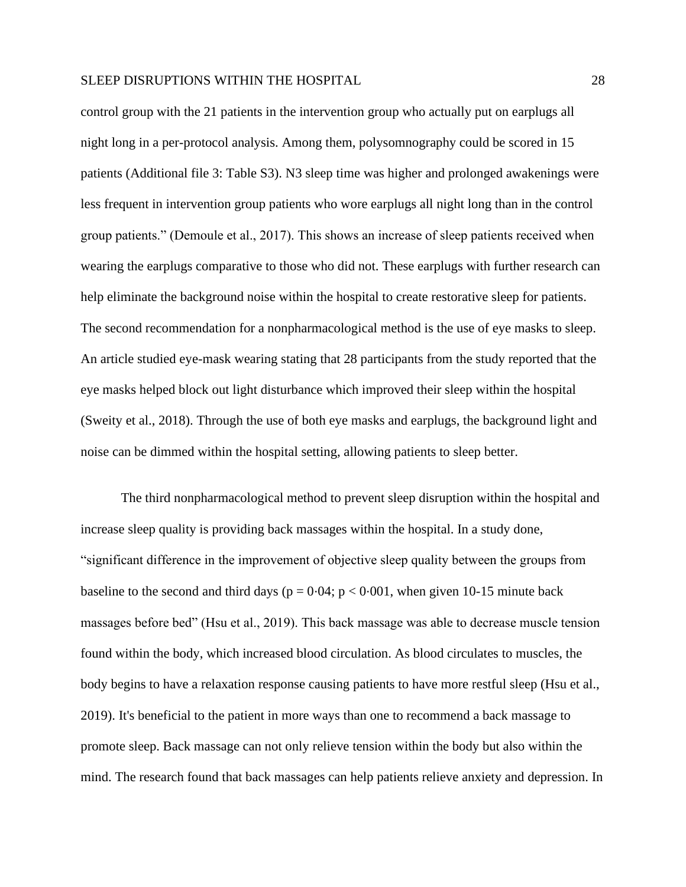control group with the 21 patients in the intervention group who actually put on earplugs all night long in a per-protocol analysis. Among them, polysomnography could be scored in 15 patients (Additional file 3: Table S3). N3 sleep time was higher and prolonged awakenings were less frequent in intervention group patients who wore earplugs all night long than in the control group patients." (Demoule et al., 2017). This shows an increase of sleep patients received when wearing the earplugs comparative to those who did not. These earplugs with further research can help eliminate the background noise within the hospital to create restorative sleep for patients. The second recommendation for a nonpharmacological method is the use of eye masks to sleep. An article studied eye-mask wearing stating that 28 participants from the study reported that the eye masks helped block out light disturbance which improved their sleep within the hospital (Sweity et al., 2018). Through the use of both eye masks and earplugs, the background light and noise can be dimmed within the hospital setting, allowing patients to sleep better.

 The third nonpharmacological method to prevent sleep disruption within the hospital and increase sleep quality is providing back massages within the hospital. In a study done, "significant difference in the improvement of objective sleep quality between the groups from baseline to the second and third days ( $p = 0.04$ ;  $p < 0.001$ , when given 10-15 minute back massages before bed" (Hsu et al., 2019). This back massage was able to decrease muscle tension found within the body, which increased blood circulation. As blood circulates to muscles, the body begins to have a relaxation response causing patients to have more restful sleep (Hsu et al., 2019). It's beneficial to the patient in more ways than one to recommend a back massage to promote sleep. Back massage can not only relieve tension within the body but also within the mind. The research found that back massages can help patients relieve anxiety and depression. In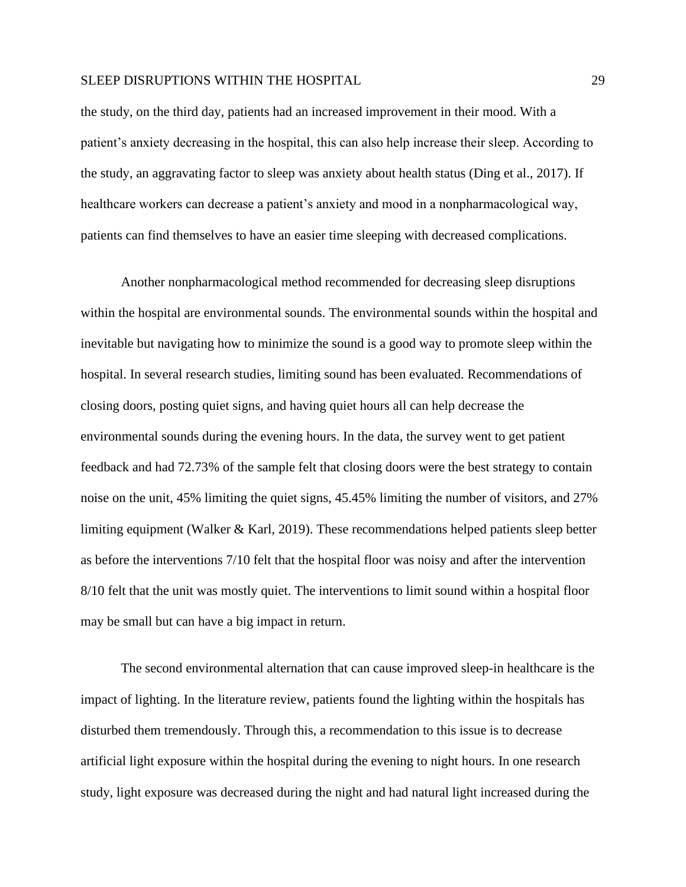the study, on the third day, patients had an increased improvement in their mood. With a patient's anxiety decreasing in the hospital, this can also help increase their sleep. According to the study, an aggravating factor to sleep was anxiety about health status (Ding et al., 2017). If healthcare workers can decrease a patient's anxiety and mood in a nonpharmacological way, patients can find themselves to have an easier time sleeping with decreased complications.

 Another nonpharmacological method recommended for decreasing sleep disruptions within the hospital are environmental sounds. The environmental sounds within the hospital and inevitable but navigating how to minimize the sound is a good way to promote sleep within the hospital. In several research studies, limiting sound has been evaluated. Recommendations of closing doors, posting quiet signs, and having quiet hours all can help decrease the environmental sounds during the evening hours. In the data, the survey went to get patient feedback and had 72.73% of the sample felt that closing doors were the best strategy to contain noise on the unit, 45% limiting the quiet signs, 45.45% limiting the number of visitors, and 27% limiting equipment (Walker & Karl, 2019). These recommendations helped patients sleep better as before the interventions 7/10 felt that the hospital floor was noisy and after the intervention 8/10 felt that the unit was mostly quiet. The interventions to limit sound within a hospital floor may be small but can have a big impact in return.

The second environmental alternation that can cause improved sleep-in healthcare is the impact of lighting. In the literature review, patients found the lighting within the hospitals has disturbed them tremendously. Through this, a recommendation to this issue is to decrease artificial light exposure within the hospital during the evening to night hours. In one research study, light exposure was decreased during the night and had natural light increased during the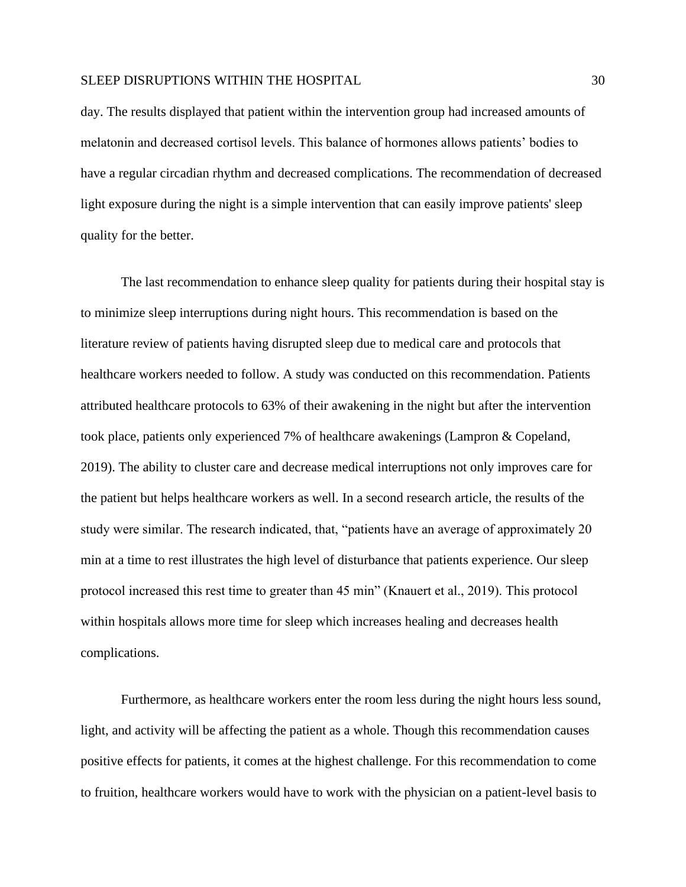day. The results displayed that patient within the intervention group had increased amounts of melatonin and decreased cortisol levels. This balance of hormones allows patients' bodies to have a regular circadian rhythm and decreased complications. The recommendation of decreased light exposure during the night is a simple intervention that can easily improve patients' sleep quality for the better.

The last recommendation to enhance sleep quality for patients during their hospital stay is to minimize sleep interruptions during night hours. This recommendation is based on the literature review of patients having disrupted sleep due to medical care and protocols that healthcare workers needed to follow. A study was conducted on this recommendation. Patients attributed healthcare protocols to 63% of their awakening in the night but after the intervention took place, patients only experienced 7% of healthcare awakenings (Lampron & Copeland, 2019). The ability to cluster care and decrease medical interruptions not only improves care for the patient but helps healthcare workers as well. In a second research article, the results of the study were similar. The research indicated, that, "patients have an average of approximately 20 min at a time to rest illustrates the high level of disturbance that patients experience. Our sleep protocol increased this rest time to greater than 45 min" (Knauert et al., 2019). This protocol within hospitals allows more time for sleep which increases healing and decreases health complications.

Furthermore, as healthcare workers enter the room less during the night hours less sound, light, and activity will be affecting the patient as a whole. Though this recommendation causes positive effects for patients, it comes at the highest challenge. For this recommendation to come to fruition, healthcare workers would have to work with the physician on a patient-level basis to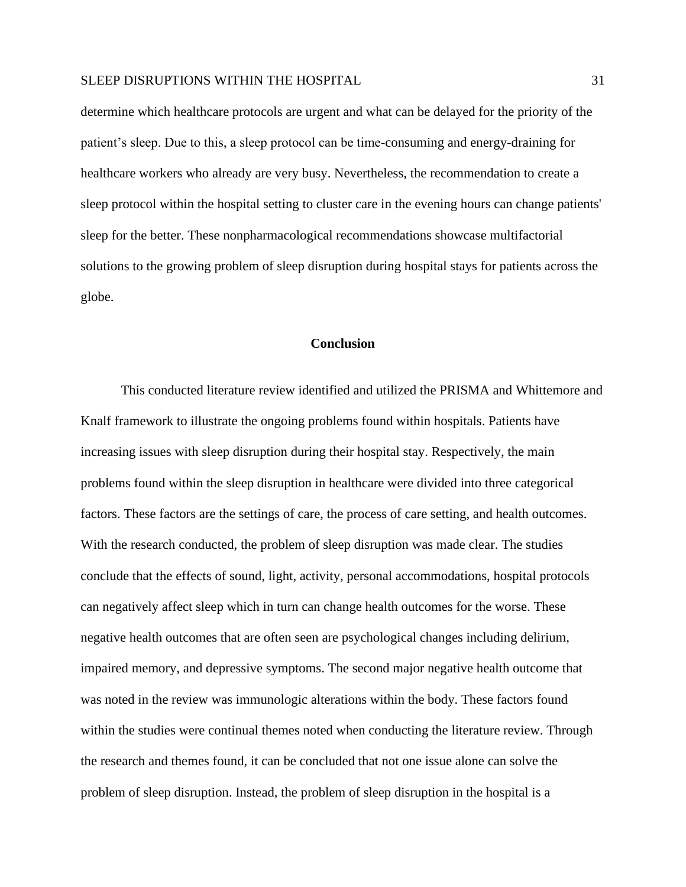determine which healthcare protocols are urgent and what can be delayed for the priority of the patient's sleep. Due to this, a sleep protocol can be time-consuming and energy-draining for healthcare workers who already are very busy. Nevertheless, the recommendation to create a sleep protocol within the hospital setting to cluster care in the evening hours can change patients' sleep for the better. These nonpharmacological recommendations showcase multifactorial solutions to the growing problem of sleep disruption during hospital stays for patients across the globe.

#### **Conclusion**

This conducted literature review identified and utilized the PRISMA and Whittemore and Knalf framework to illustrate the ongoing problems found within hospitals. Patients have increasing issues with sleep disruption during their hospital stay. Respectively, the main problems found within the sleep disruption in healthcare were divided into three categorical factors. These factors are the settings of care, the process of care setting, and health outcomes. With the research conducted, the problem of sleep disruption was made clear. The studies conclude that the effects of sound, light, activity, personal accommodations, hospital protocols can negatively affect sleep which in turn can change health outcomes for the worse. These negative health outcomes that are often seen are psychological changes including delirium, impaired memory, and depressive symptoms. The second major negative health outcome that was noted in the review was immunologic alterations within the body. These factors found within the studies were continual themes noted when conducting the literature review. Through the research and themes found, it can be concluded that not one issue alone can solve the problem of sleep disruption. Instead, the problem of sleep disruption in the hospital is a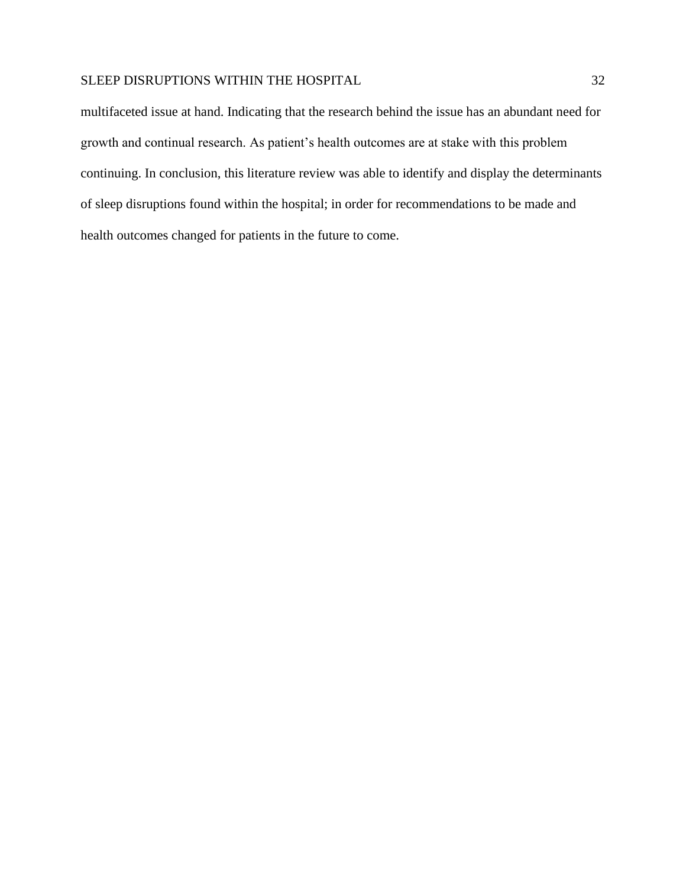multifaceted issue at hand. Indicating that the research behind the issue has an abundant need for growth and continual research. As patient's health outcomes are at stake with this problem continuing. In conclusion, this literature review was able to identify and display the determinants of sleep disruptions found within the hospital; in order for recommendations to be made and health outcomes changed for patients in the future to come.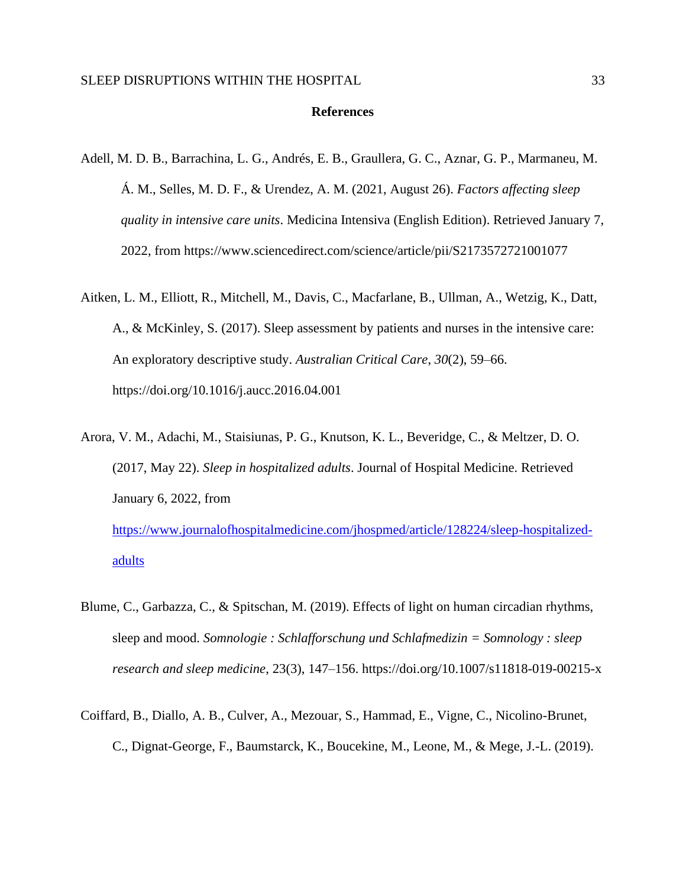## **References**

- Adell, M. D. B., Barrachina, L. G., Andrés, E. B., Graullera, G. C., Aznar, G. P., Marmaneu, M. Á. M., Selles, M. D. F., & Urendez, A. M. (2021, August 26). *Factors affecting sleep quality in intensive care units*. Medicina Intensiva (English Edition). Retrieved January 7, 2022, from https://www.sciencedirect.com/science/article/pii/S2173572721001077
- Aitken, L. M., Elliott, R., Mitchell, M., Davis, C., Macfarlane, B., Ullman, A., Wetzig, K., Datt, A., & McKinley, S. (2017). Sleep assessment by patients and nurses in the intensive care: An exploratory descriptive study. *Australian Critical Care*, *30*(2), 59–66. https://doi.org/10.1016/j.aucc.2016.04.001
- Arora, V. M., Adachi, M., Staisiunas, P. G., Knutson, K. L., Beveridge, C., & Meltzer, D. O. (2017, May 22). *Sleep in hospitalized adults*. Journal of Hospital Medicine. Retrieved January 6, 2022, from [https://www.journalofhospitalmedicine.com/jhospmed/article/128224/sleep-hospitalized](https://www.journalofhospitalmedicine.com/jhospmed/article/128224/sleep-hospitalized-adults)[adults](https://www.journalofhospitalmedicine.com/jhospmed/article/128224/sleep-hospitalized-adults)
- Blume, C., Garbazza, C., & Spitschan, M. (2019). Effects of light on human circadian rhythms, sleep and mood. *Somnologie : Schlafforschung und Schlafmedizin = Somnology : sleep research and sleep medicine*, 23(3), 147–156. https://doi.org/10.1007/s11818-019-00215-x
- Coiffard, B., Diallo, A. B., Culver, A., Mezouar, S., Hammad, E., Vigne, C., Nicolino-Brunet, C., Dignat-George, F., Baumstarck, K., Boucekine, M., Leone, M., & Mege, J.-L. (2019).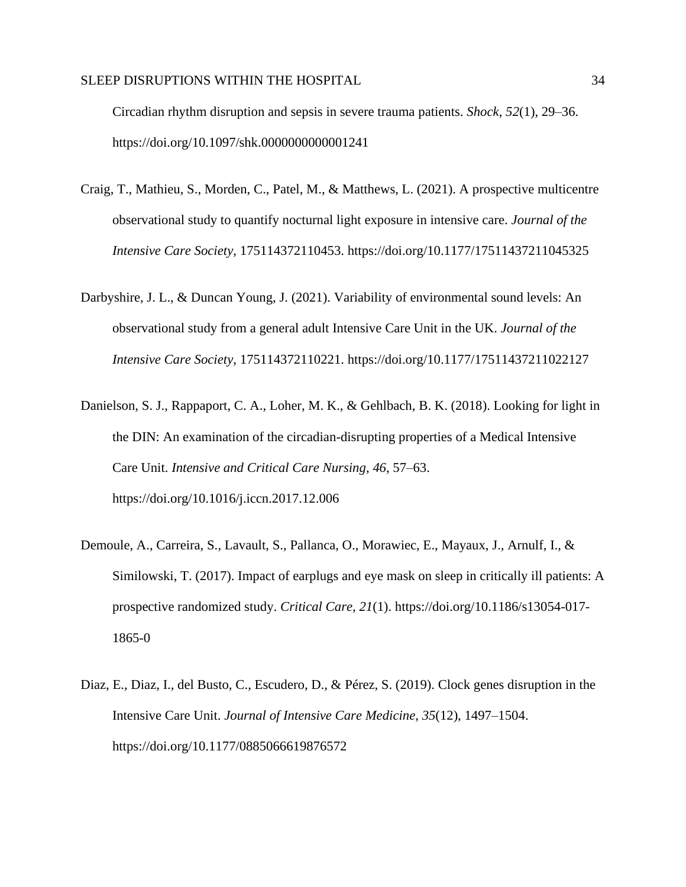Circadian rhythm disruption and sepsis in severe trauma patients. *Shock*, *52*(1), 29–36. https://doi.org/10.1097/shk.0000000000001241

- Craig, T., Mathieu, S., Morden, C., Patel, M., & Matthews, L. (2021). A prospective multicentre observational study to quantify nocturnal light exposure in intensive care. *Journal of the Intensive Care Society*, 175114372110453. https://doi.org/10.1177/17511437211045325
- Darbyshire, J. L., & Duncan Young, J. (2021). Variability of environmental sound levels: An observational study from a general adult Intensive Care Unit in the UK. *Journal of the Intensive Care Society*, 175114372110221. https://doi.org/10.1177/17511437211022127
- Danielson, S. J., Rappaport, C. A., Loher, M. K., & Gehlbach, B. K. (2018). Looking for light in the DIN: An examination of the circadian-disrupting properties of a Medical Intensive Care Unit. *Intensive and Critical Care Nursing*, *46*, 57–63. https://doi.org/10.1016/j.iccn.2017.12.006
- Demoule, A., Carreira, S., Lavault, S., Pallanca, O., Morawiec, E., Mayaux, J., Arnulf, I., & Similowski, T. (2017). Impact of earplugs and eye mask on sleep in critically ill patients: A prospective randomized study. *Critical Care*, *21*(1). https://doi.org/10.1186/s13054-017- 1865-0
- Diaz, E., Diaz, I., del Busto, C., Escudero, D., & Pérez, S. (2019). Clock genes disruption in the Intensive Care Unit. *Journal of Intensive Care Medicine*, *35*(12), 1497–1504. https://doi.org/10.1177/0885066619876572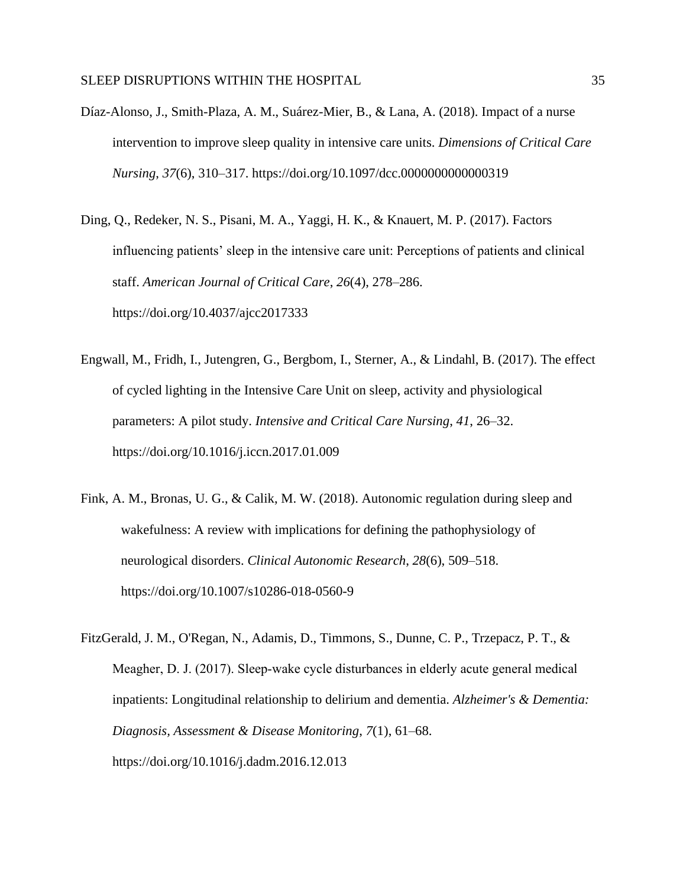- Díaz-Alonso, J., Smith-Plaza, A. M., Suárez-Mier, B., & Lana, A. (2018). Impact of a nurse intervention to improve sleep quality in intensive care units. *Dimensions of Critical Care Nursing*, *37*(6), 310–317. https://doi.org/10.1097/dcc.0000000000000319
- Ding, Q., Redeker, N. S., Pisani, M. A., Yaggi, H. K., & Knauert, M. P. (2017). Factors influencing patients' sleep in the intensive care unit: Perceptions of patients and clinical staff. *American Journal of Critical Care*, *26*(4), 278–286. https://doi.org/10.4037/ajcc2017333
- Engwall, M., Fridh, I., Jutengren, G., Bergbom, I., Sterner, A., & Lindahl, B. (2017). The effect of cycled lighting in the Intensive Care Unit on sleep, activity and physiological parameters: A pilot study. *Intensive and Critical Care Nursing*, *41*, 26–32. https://doi.org/10.1016/j.iccn.2017.01.009
- Fink, A. M., Bronas, U. G., & Calik, M. W. (2018). Autonomic regulation during sleep and wakefulness: A review with implications for defining the pathophysiology of neurological disorders. *Clinical Autonomic Research*, *28*(6), 509–518. https://doi.org/10.1007/s10286-018-0560-9
- FitzGerald, J. M., O'Regan, N., Adamis, D., Timmons, S., Dunne, C. P., Trzepacz, P. T., & Meagher, D. J. (2017). Sleep‐wake cycle disturbances in elderly acute general medical inpatients: Longitudinal relationship to delirium and dementia. *Alzheimer's & Dementia: Diagnosis, Assessment & Disease Monitoring*, *7*(1), 61–68. https://doi.org/10.1016/j.dadm.2016.12.013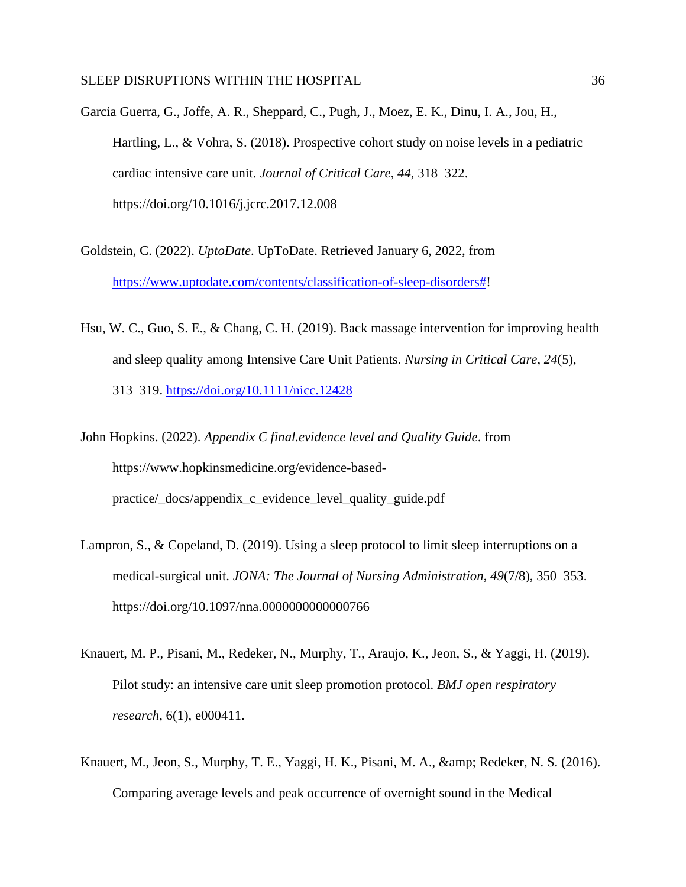Garcia Guerra, G., Joffe, A. R., Sheppard, C., Pugh, J., Moez, E. K., Dinu, I. A., Jou, H., Hartling, L., & Vohra, S. (2018). Prospective cohort study on noise levels in a pediatric cardiac intensive care unit. *Journal of Critical Care*, *44*, 318–322. https://doi.org/10.1016/j.jcrc.2017.12.008

- Goldstein, C. (2022). *UptoDate*. UpToDate. Retrieved January 6, 2022, from [https://www.uptodate.com/contents/classification-of-sleep-disorders#!](https://www.uptodate.com/contents/classification-of-sleep-disorders)
- Hsu, W. C., Guo, S. E., & Chang, C. H. (2019). Back massage intervention for improving health and sleep quality among Intensive Care Unit Patients. *Nursing in Critical Care*, *24*(5), 313–319.<https://doi.org/10.1111/nicc.12428>
- John Hopkins. (2022). *Appendix C final.evidence level and Quality Guide*. from https://www.hopkinsmedicine.org/evidence-basedpractice/\_docs/appendix\_c\_evidence\_level\_quality\_guide.pdf
- Lampron, S., & Copeland, D. (2019). Using a sleep protocol to limit sleep interruptions on a medical-surgical unit. *JONA: The Journal of Nursing Administration*, *49*(7/8), 350–353. https://doi.org/10.1097/nna.0000000000000766
- Knauert, M. P., Pisani, M., Redeker, N., Murphy, T., Araujo, K., Jeon, S., & Yaggi, H. (2019). Pilot study: an intensive care unit sleep promotion protocol. *BMJ open respiratory research*, 6(1), e000411.
- Knauert, M., Jeon, S., Murphy, T. E., Yaggi, H. K., Pisani, M. A., & amp; Redeker, N. S. (2016). Comparing average levels and peak occurrence of overnight sound in the Medical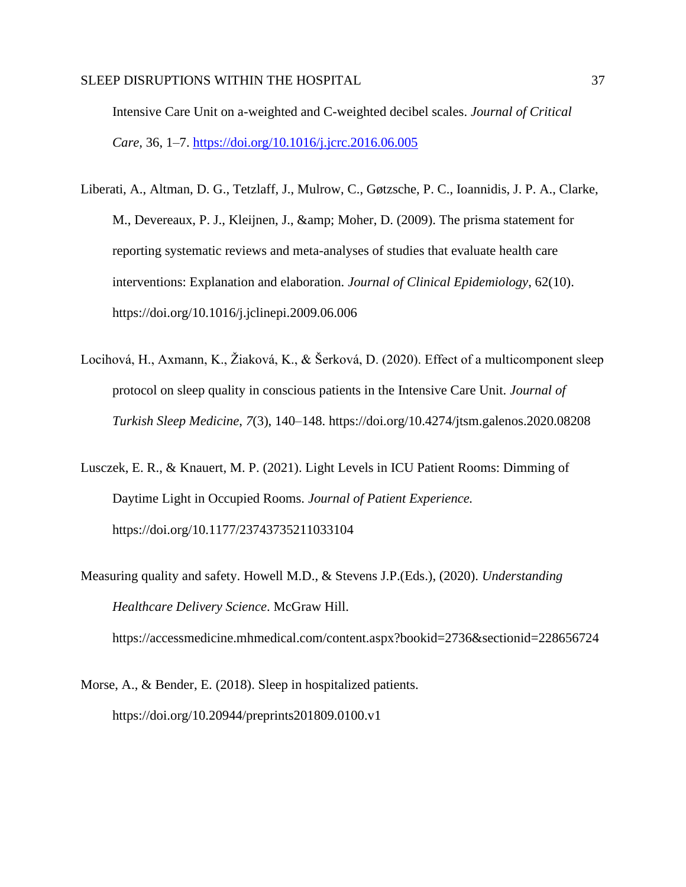Intensive Care Unit on a-weighted and C-weighted decibel scales. *Journal of Critical Care,* 36, 1–7.<https://doi.org/10.1016/j.jcrc.2016.06.005>

- Liberati, A., Altman, D. G., Tetzlaff, J., Mulrow, C., Gøtzsche, P. C., Ioannidis, J. P. A., Clarke, M., Devereaux, P. J., Kleijnen, J., & amp; Moher, D. (2009). The prisma statement for reporting systematic reviews and meta-analyses of studies that evaluate health care interventions: Explanation and elaboration. *Journal of Clinical Epidemiology*, 62(10). https://doi.org/10.1016/j.jclinepi.2009.06.006
- Locihová, H., Axmann, K., Žiaková, K., & Šerková, D. (2020). Effect of a multicomponent sleep protocol on sleep quality in conscious patients in the Intensive Care Unit. *Journal of Turkish Sleep Medicine*, *7*(3), 140–148. https://doi.org/10.4274/jtsm.galenos.2020.08208
- Lusczek, E. R., & Knauert, M. P. (2021). Light Levels in ICU Patient Rooms: Dimming of Daytime Light in Occupied Rooms. *Journal of Patient Experience.* https://doi.org/10.1177/23743735211033104
- Measuring quality and safety. Howell M.D., & Stevens J.P.(Eds.), (2020). *Understanding Healthcare Delivery Science*. McGraw Hill. https://accessmedicine.mhmedical.com/content.aspx?bookid=2736&sectionid=228656724
- Morse, A., & Bender, E. (2018). Sleep in hospitalized patients. https://doi.org/10.20944/preprints201809.0100.v1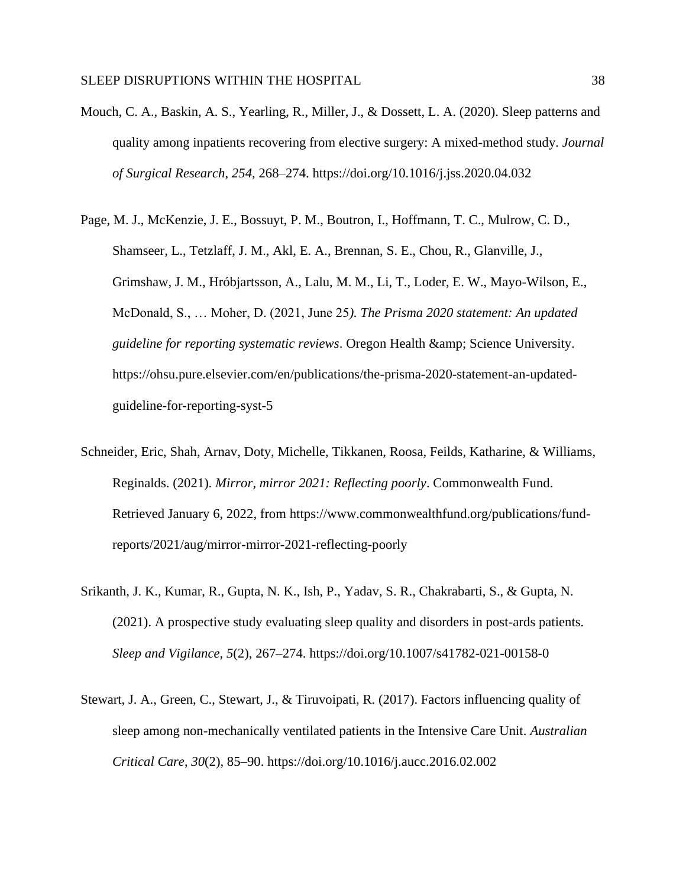- Mouch, C. A., Baskin, A. S., Yearling, R., Miller, J., & Dossett, L. A. (2020). Sleep patterns and quality among inpatients recovering from elective surgery: A mixed-method study. *Journal of Surgical Research*, *254*, 268–274. https://doi.org/10.1016/j.jss.2020.04.032
- Page, M. J., McKenzie, J. E., Bossuyt, P. M., Boutron, I., Hoffmann, T. C., Mulrow, C. D., Shamseer, L., Tetzlaff, J. M., Akl, E. A., Brennan, S. E., Chou, R., Glanville, J., Grimshaw, J. M., Hróbjartsson, A., Lalu, M. M., Li, T., Loder, E. W., Mayo-Wilson, E., McDonald, S., … Moher, D. (2021, June 25*). The Prisma 2020 statement: An updated guideline for reporting systematic reviews.* Oregon Health & amp; Science University. https://ohsu.pure.elsevier.com/en/publications/the-prisma-2020-statement-an-updatedguideline-for-reporting-syst-5
- Schneider, Eric, Shah, Arnav, Doty, Michelle, Tikkanen, Roosa, Feilds, Katharine, & Williams, Reginalds. (2021). *Mirror, mirror 2021: Reflecting poorly*. Commonwealth Fund. Retrieved January 6, 2022, from https://www.commonwealthfund.org/publications/fundreports/2021/aug/mirror-mirror-2021-reflecting-poorly
- Srikanth, J. K., Kumar, R., Gupta, N. K., Ish, P., Yadav, S. R., Chakrabarti, S., & Gupta, N. (2021). A prospective study evaluating sleep quality and disorders in post-ards patients. *Sleep and Vigilance*, *5*(2), 267–274. https://doi.org/10.1007/s41782-021-00158-0
- Stewart, J. A., Green, C., Stewart, J., & Tiruvoipati, R. (2017). Factors influencing quality of sleep among non-mechanically ventilated patients in the Intensive Care Unit. *Australian Critical Care*, *30*(2), 85–90. https://doi.org/10.1016/j.aucc.2016.02.002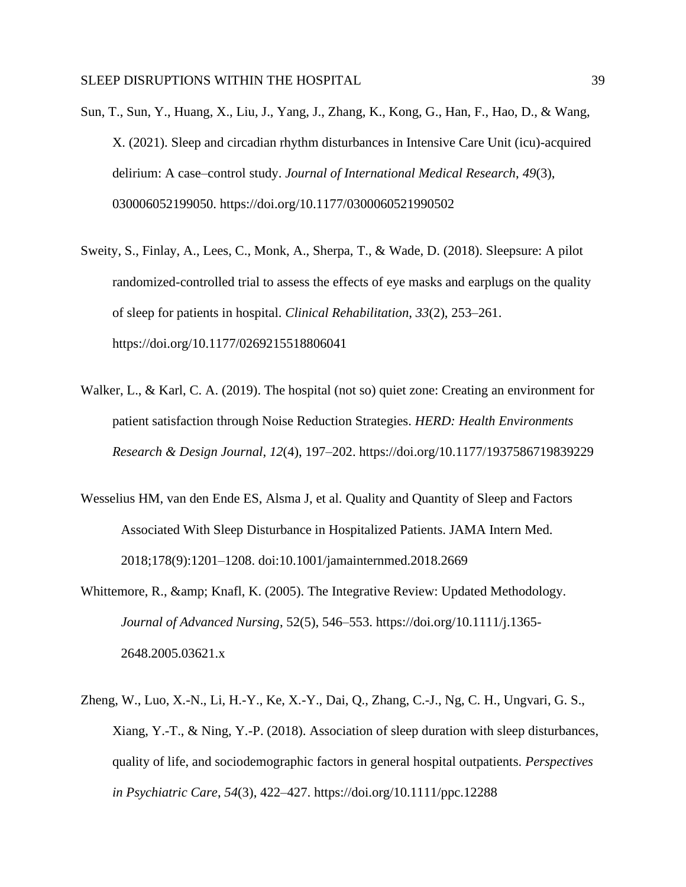- Sun, T., Sun, Y., Huang, X., Liu, J., Yang, J., Zhang, K., Kong, G., Han, F., Hao, D., & Wang, X. (2021). Sleep and circadian rhythm disturbances in Intensive Care Unit (icu)-acquired delirium: A case–control study. *Journal of International Medical Research*, *49*(3), 030006052199050. https://doi.org/10.1177/0300060521990502
- Sweity, S., Finlay, A., Lees, C., Monk, A., Sherpa, T., & Wade, D. (2018). Sleepsure: A pilot randomized-controlled trial to assess the effects of eye masks and earplugs on the quality of sleep for patients in hospital. *Clinical Rehabilitation*, *33*(2), 253–261. https://doi.org/10.1177/0269215518806041
- Walker, L., & Karl, C. A. (2019). The hospital (not so) quiet zone: Creating an environment for patient satisfaction through Noise Reduction Strategies. *HERD: Health Environments Research & Design Journal*, *12*(4), 197–202. https://doi.org/10.1177/1937586719839229
- Wesselius HM, van den Ende ES, Alsma J, et al. Quality and Quantity of Sleep and Factors Associated With Sleep Disturbance in Hospitalized Patients. JAMA Intern Med. 2018;178(9):1201–1208. doi:10.1001/jamainternmed.2018.2669
- Whittemore, R., & amp; Knafl, K. (2005). The Integrative Review: Updated Methodology. *Journal of Advanced Nursing*, 52(5), 546–553. https://doi.org/10.1111/j.1365- 2648.2005.03621.x
- Zheng, W., Luo, X.-N., Li, H.-Y., Ke, X.-Y., Dai, Q., Zhang, C.-J., Ng, C. H., Ungvari, G. S., Xiang, Y.-T., & Ning, Y.-P. (2018). Association of sleep duration with sleep disturbances, quality of life, and sociodemographic factors in general hospital outpatients. *Perspectives in Psychiatric Care*, *54*(3), 422–427. https://doi.org/10.1111/ppc.12288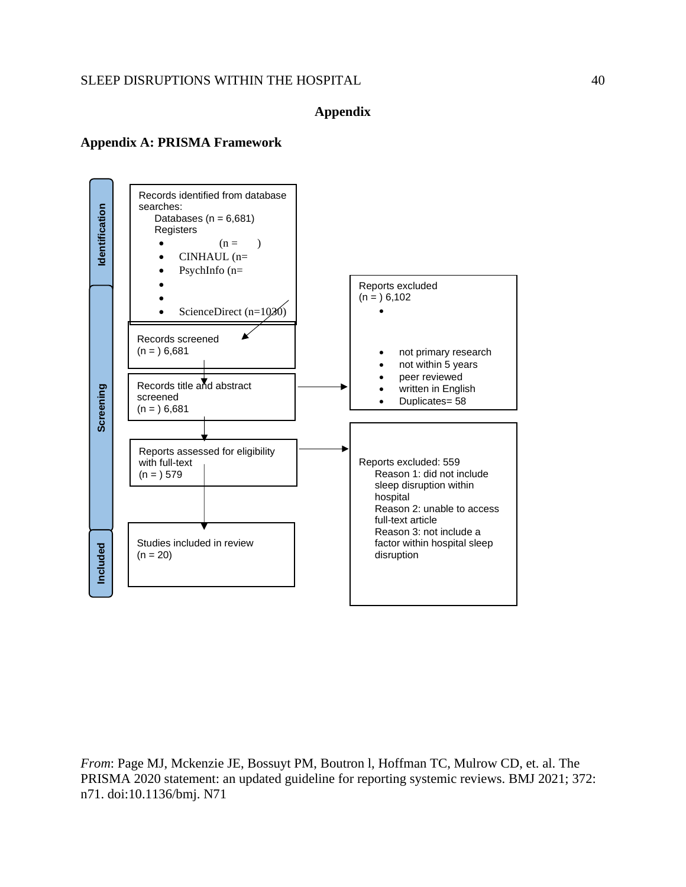## **Appendix**

#### **Appendix A: PRISMA Framework**



*From*: Page MJ, Mckenzie JE, Bossuyt PM, Boutron l, Hoffman TC, Mulrow CD, et. al. The PRISMA 2020 statement: an updated guideline for reporting systemic reviews. BMJ 2021; 372: n71. doi:10.1136/bmj. N71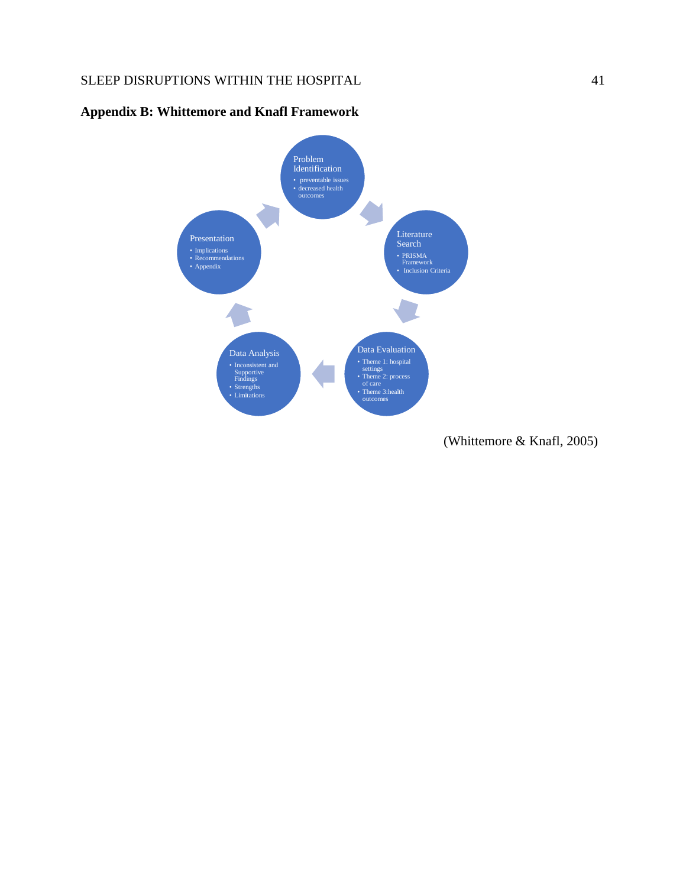

## **Appendix B: Whittemore and Knafl Framework**

(Whittemore & Knafl, 2005)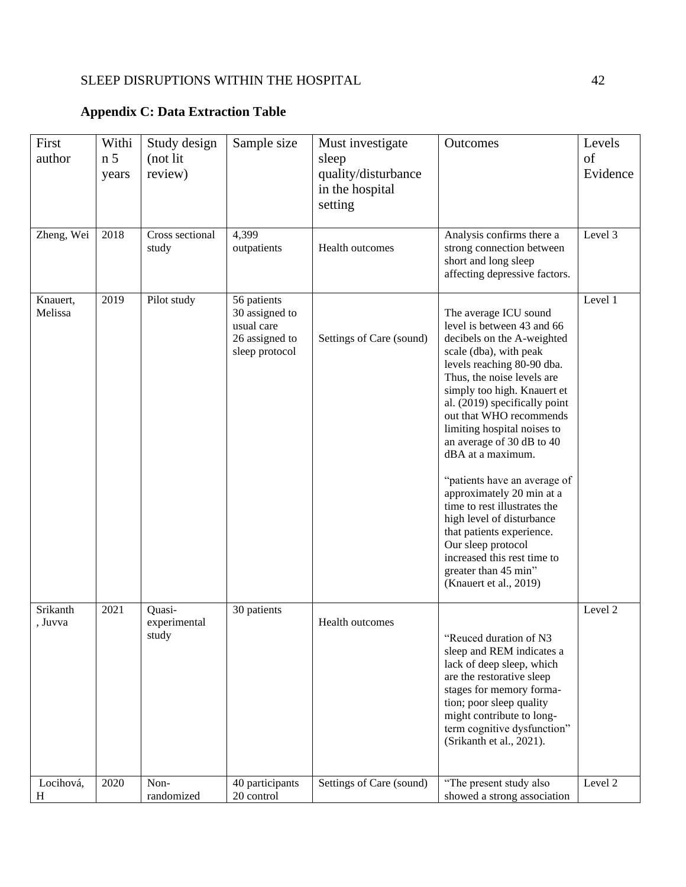## **Appendix C: Data Extraction Table**

| First<br>author     | Withi<br>n <sub>5</sub><br>years | Study design<br>(not lit<br>review) | Sample size                                                                     | Must investigate<br>sleep<br>quality/disturbance<br>in the hospital<br>setting | Outcomes                                                                                                                                                                                                                                                                                                                                                                                                                                                                                                                                                                                                          | Levels<br>of<br>Evidence |
|---------------------|----------------------------------|-------------------------------------|---------------------------------------------------------------------------------|--------------------------------------------------------------------------------|-------------------------------------------------------------------------------------------------------------------------------------------------------------------------------------------------------------------------------------------------------------------------------------------------------------------------------------------------------------------------------------------------------------------------------------------------------------------------------------------------------------------------------------------------------------------------------------------------------------------|--------------------------|
| Zheng, Wei          | 2018                             | Cross sectional<br>study            | 4,399<br>outpatients                                                            | Health outcomes                                                                | Analysis confirms there a<br>strong connection between<br>short and long sleep<br>affecting depressive factors.                                                                                                                                                                                                                                                                                                                                                                                                                                                                                                   | Level 3                  |
| Knauert,<br>Melissa | 2019                             | Pilot study                         | 56 patients<br>30 assigned to<br>usual care<br>26 assigned to<br>sleep protocol | Settings of Care (sound)                                                       | The average ICU sound<br>level is between 43 and 66<br>decibels on the A-weighted<br>scale (dba), with peak<br>levels reaching 80-90 dba.<br>Thus, the noise levels are<br>simply too high. Knauert et<br>al. (2019) specifically point<br>out that WHO recommends<br>limiting hospital noises to<br>an average of 30 dB to 40<br>dBA at a maximum.<br>"patients have an average of<br>approximately 20 min at a<br>time to rest illustrates the<br>high level of disturbance<br>that patients experience.<br>Our sleep protocol<br>increased this rest time to<br>greater than 45 min"<br>(Knauert et al., 2019) | Level 1                  |
| Srikanth<br>, Juvva | 2021                             | Quasi-<br>experimental<br>study     | 30 patients                                                                     | Health outcomes                                                                | "Reuced duration of N3<br>sleep and REM indicates a<br>lack of deep sleep, which<br>are the restorative sleep<br>stages for memory forma-<br>tion; poor sleep quality<br>might contribute to long-<br>term cognitive dysfunction"<br>(Srikanth et al., 2021).                                                                                                                                                                                                                                                                                                                                                     | Level 2                  |
| Locihová,<br>Η      | 2020                             | Non-<br>randomized                  | 40 participants<br>20 control                                                   | Settings of Care (sound)                                                       | "The present study also<br>showed a strong association                                                                                                                                                                                                                                                                                                                                                                                                                                                                                                                                                            | Level 2                  |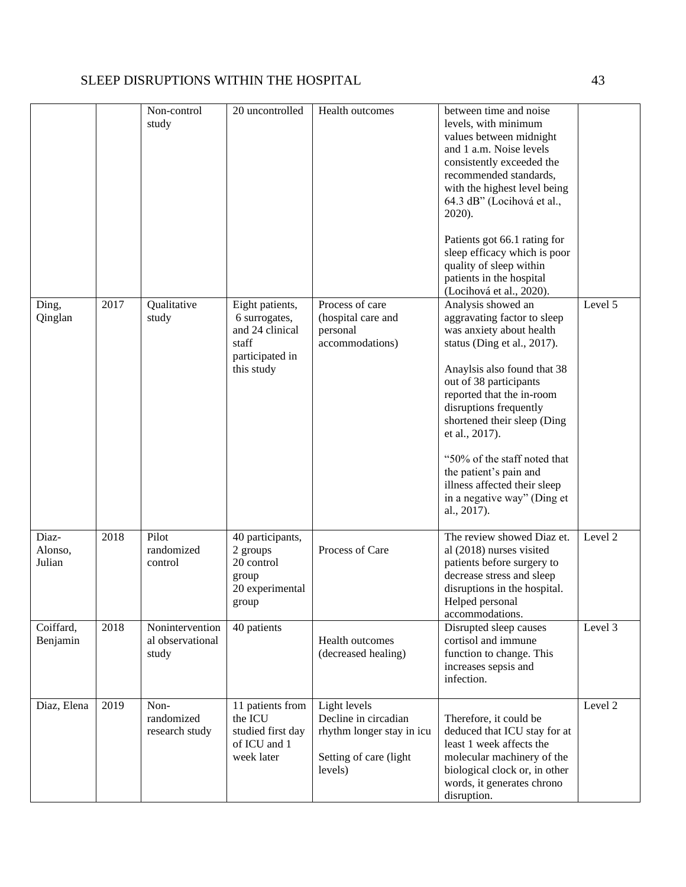| Ding,<br>Qinglan           | 2017 | Non-control<br>study<br>Qualitative<br>study | 20 uncontrolled<br>Eight patients,<br>6 surrogates,                             | Health outcomes<br>Process of care<br>(hospital care and                                               | between time and noise<br>levels, with minimum<br>values between midnight<br>and 1 a.m. Noise levels<br>consistently exceeded the<br>recommended standards,<br>with the highest level being<br>64.3 dB" (Locihová et al.,<br>2020).<br>Patients got 66.1 rating for<br>sleep efficacy which is poor<br>quality of sleep within<br>patients in the hospital<br>(Locihová et al., 2020).<br>Analysis showed an<br>aggravating factor to sleep | Level 5 |
|----------------------------|------|----------------------------------------------|---------------------------------------------------------------------------------|--------------------------------------------------------------------------------------------------------|---------------------------------------------------------------------------------------------------------------------------------------------------------------------------------------------------------------------------------------------------------------------------------------------------------------------------------------------------------------------------------------------------------------------------------------------|---------|
|                            |      |                                              | and 24 clinical<br>staff<br>participated in<br>this study                       | personal<br>accommodations)                                                                            | was anxiety about health<br>status (Ding et al., 2017).<br>Anaylsis also found that 38<br>out of 38 participants<br>reported that the in-room<br>disruptions frequently<br>shortened their sleep (Ding<br>et al., 2017).<br>"50% of the staff noted that<br>the patient's pain and<br>illness affected their sleep<br>in a negative way" (Ding et<br>al., 2017).                                                                            |         |
| Diaz-<br>Alonso,<br>Julian | 2018 | Pilot<br>randomized<br>control               | 40 participants,<br>2 groups<br>20 control<br>group<br>20 experimental<br>group | Process of Care                                                                                        | The review showed Diaz et.<br>al (2018) nurses visited<br>patients before surgery to<br>decrease stress and sleep<br>disruptions in the hospital.<br>Helped personal<br>accommodations.                                                                                                                                                                                                                                                     | Level 2 |
| Coiffard,<br>Benjamin      | 2018 | Nonintervention<br>al observational<br>study | 40 patients                                                                     | Health outcomes<br>(decreased healing)                                                                 | Disrupted sleep causes<br>cortisol and immune<br>function to change. This<br>increases sepsis and<br>infection.                                                                                                                                                                                                                                                                                                                             | Level 3 |
| Diaz, Elena                | 2019 | Non-<br>randomized<br>research study         | 11 patients from<br>the ICU<br>studied first day<br>of ICU and 1<br>week later  | Light levels<br>Decline in circadian<br>rhythm longer stay in icu<br>Setting of care (light<br>levels) | Therefore, it could be<br>deduced that ICU stay for at<br>least 1 week affects the<br>molecular machinery of the<br>biological clock or, in other<br>words, it generates chrono<br>disruption.                                                                                                                                                                                                                                              | Level 2 |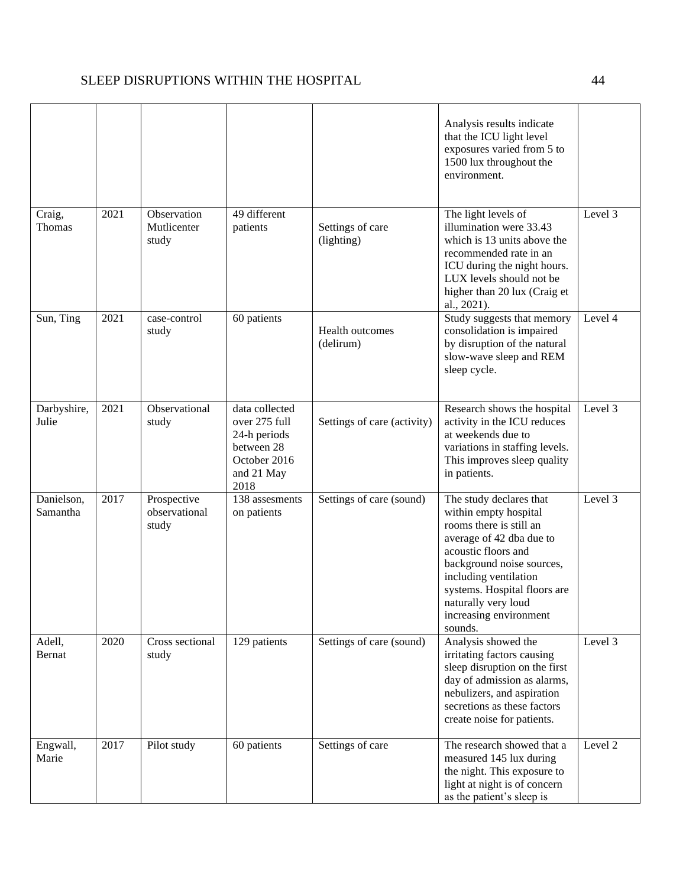|                         |      |                                       |                                                                                                     |                                | Analysis results indicate<br>that the ICU light level<br>exposures varied from 5 to<br>1500 lux throughout the<br>environment.                                                                                                                                                   |         |
|-------------------------|------|---------------------------------------|-----------------------------------------------------------------------------------------------------|--------------------------------|----------------------------------------------------------------------------------------------------------------------------------------------------------------------------------------------------------------------------------------------------------------------------------|---------|
| Craig,<br><b>Thomas</b> | 2021 | Observation<br>Mutlicenter<br>study   | 49 different<br>patients                                                                            | Settings of care<br>(lighting) | The light levels of<br>illumination were 33.43<br>which is 13 units above the<br>recommended rate in an<br>ICU during the night hours.<br>LUX levels should not be<br>higher than 20 lux (Craig et<br>al., 2021).                                                                | Level 3 |
| Sun, Ting               | 2021 | case-control<br>study                 | 60 patients                                                                                         | Health outcomes<br>(delirum)   | Study suggests that memory<br>consolidation is impaired<br>by disruption of the natural<br>slow-wave sleep and REM<br>sleep cycle.                                                                                                                                               | Level 4 |
| Darbyshire,<br>Julie    | 2021 | Observational<br>study                | data collected<br>over 275 full<br>24-h periods<br>between 28<br>October 2016<br>and 21 May<br>2018 | Settings of care (activity)    | Research shows the hospital<br>activity in the ICU reduces<br>at weekends due to<br>variations in staffing levels.<br>This improves sleep quality<br>in patients.                                                                                                                | Level 3 |
| Danielson,<br>Samantha  | 2017 | Prospective<br>observational<br>study | 138 assesments<br>on patients                                                                       | Settings of care (sound)       | The study declares that<br>within empty hospital<br>rooms there is still an<br>average of 42 dba due to<br>acoustic floors and<br>background noise sources,<br>including ventilation<br>systems. Hospital floors are<br>naturally very loud<br>increasing environment<br>sounds. | Level 3 |
| Adell,<br>Bernat        | 2020 | Cross sectional<br>study              | 129 patients                                                                                        | Settings of care (sound)       | Analysis showed the<br>irritating factors causing<br>sleep disruption on the first<br>day of admission as alarms,<br>nebulizers, and aspiration<br>secretions as these factors<br>create noise for patients.                                                                     | Level 3 |
| Engwall,<br>Marie       | 2017 | Pilot study                           | 60 patients                                                                                         | Settings of care               | The research showed that a<br>measured 145 lux during<br>the night. This exposure to<br>light at night is of concern<br>as the patient's sleep is                                                                                                                                | Level 2 |